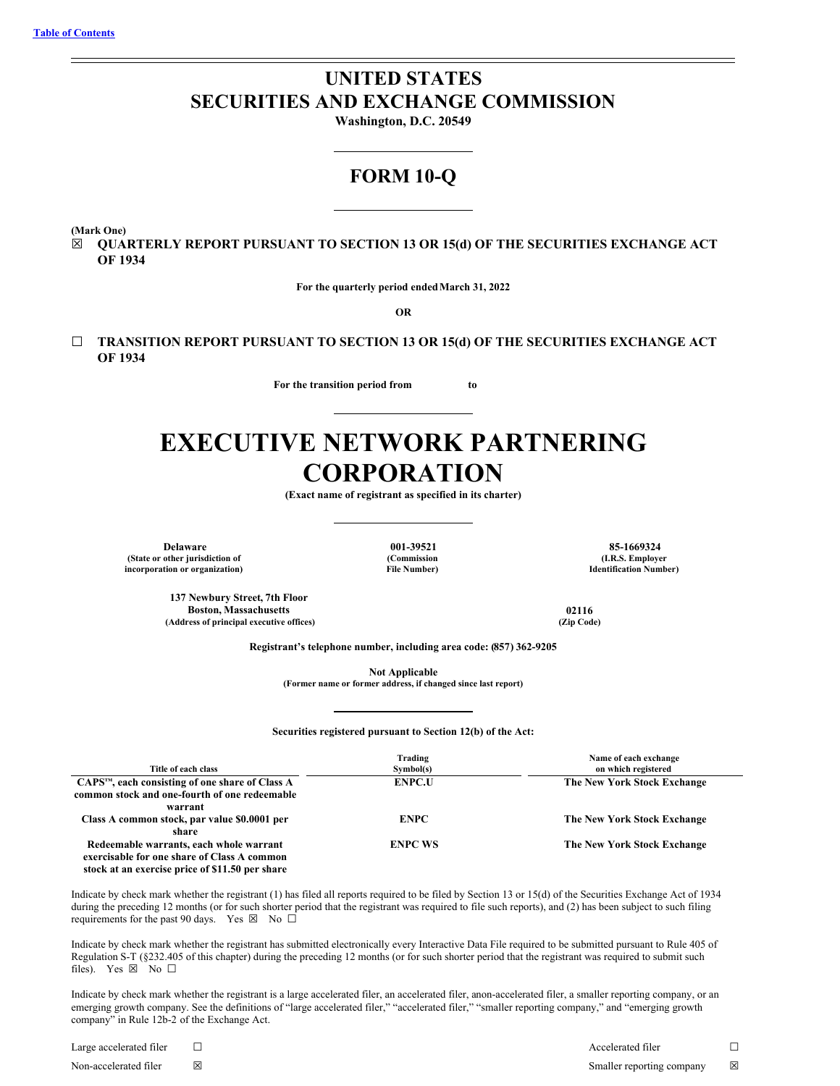## **UNITED STATES SECURITIES AND EXCHANGE COMMISSION**

**Washington, D.C. 20549**

### **FORM 10-Q**

**(Mark One)**

☒ **QUARTERLY REPORT PURSUANT TO SECTION 13 OR 15(d) OF THE SECURITIES EXCHANGE ACT OF 1934**

**For the quarterly period endedMarch 31, 2022**

**OR**

☐ **TRANSITION REPORT PURSUANT TO SECTION 13 OR 15(d) OF THE SECURITIES EXCHANGE ACT OF 1934**

**For the transition period from to**

# **EXECUTIVE NETWORK PARTNERING CORPORATION**

**(Exact name of registrant as specified in its charter)**

**Delaware 001-39521 85-1669324 (State or other jurisdiction of incorporation or organization)**

**137 Newbury Street, 7th Floor**

**(Address of principal executive offices) (Zip Code)**

**(Commission File Number)**

**(I.R.S. Employer Identification Number)**

**Boston, Massachusetts 02116**<br> **CALCON CONFIDENTIAL CONFIDENTIAL CONFIDENTIAL CONFIDENTIAL CONFIDENTIAL CONFIDENTIAL CONFIDENTIAL CONFIDENTIAL CONFIDENTIAL CONFIDENTIAL CONFIDENTIAL CONFIDENTIAL CONFIDENTIAL CONFIDENTIAL** 

**Registrant's telephone number, including area code: (857) 362-9205**

**Not Applicable**

**(Former name or former address, if changed since last report)**

**Securities registered pursuant to Section 12(b) of the Act:**

| Title of each class                                                                                    | Trading<br>Symbol(s) | Name of each exchange<br>on which registered |
|--------------------------------------------------------------------------------------------------------|----------------------|----------------------------------------------|
| $CAPS^{rM}$ , each consisting of one share of Class A<br>common stock and one-fourth of one redeemable | <b>ENPC.U</b>        | The New York Stock Exchange                  |
| warrant<br>Class A common stock, par value \$0,0001 per<br>share                                       | <b>ENPC</b>          | The New York Stock Exchange                  |
| Redeemable warrants, each whole warrant<br>exercisable for one share of Class A common                 | <b>ENPC WS</b>       | The New York Stock Exchange                  |
| stock at an exercise price of \$11.50 per share                                                        |                      |                                              |

Indicate by check mark whether the registrant (1) has filed all reports required to be filed by Section 13 or 15(d) of the Securities Exchange Act of 1934 during the preceding 12 months (or for such shorter period that the registrant was required to file such reports), and (2) has been subject to such filing requirements for the past 90 days. Yes  $\boxtimes$  No  $\Box$ 

Indicate by check mark whether the registrant has submitted electronically every Interactive Data File required to be submitted pursuant to Rule 405 of Regulation S-T (§232.405 of this chapter) during the preceding 12 months (or for such shorter period that the registrant was required to submit such files). Yes  $\boxtimes$  No  $\square$ 

Indicate by check mark whether the registrant is a large accelerated filer, an accelerated filer, anon-accelerated filer, a smaller reporting company, or an emerging growth company. See the definitions of "large accelerated filer," "accelerated filer," "smaller reporting company," and "emerging growth company" in Rule 12b-2 of the Exchange Act.

Non-accelerated filer ⊠ <br>
⊠ Smaller reporting company ⊠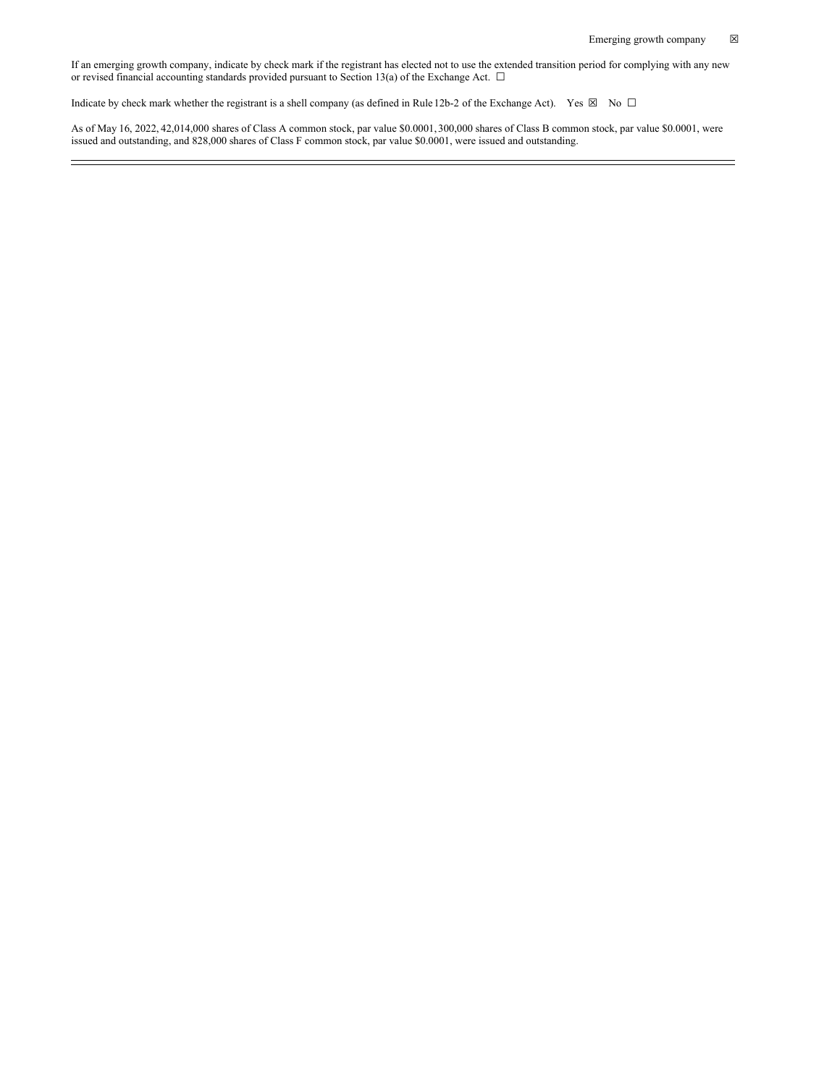If an emerging growth company, indicate by check mark if the registrant has elected not to use the extended transition period for complying with any new or revised financial accounting standards provided pursuant to Section 13(a) of the Exchange Act.  $\Box$ 

Indicate by check mark whether the registrant is a shell company (as defined in Rule 12b-2 of the Exchange Act). Yes  $\boxtimes$  No  $\Box$ 

As of May 16, 2022, 42,014,000 shares of Class A common stock, par value \$0.0001,300,000 shares of Class B common stock, par value \$0.0001, were issued and outstanding, and 828,000 shares of Class F common stock, par value \$0.0001, were issued and outstanding.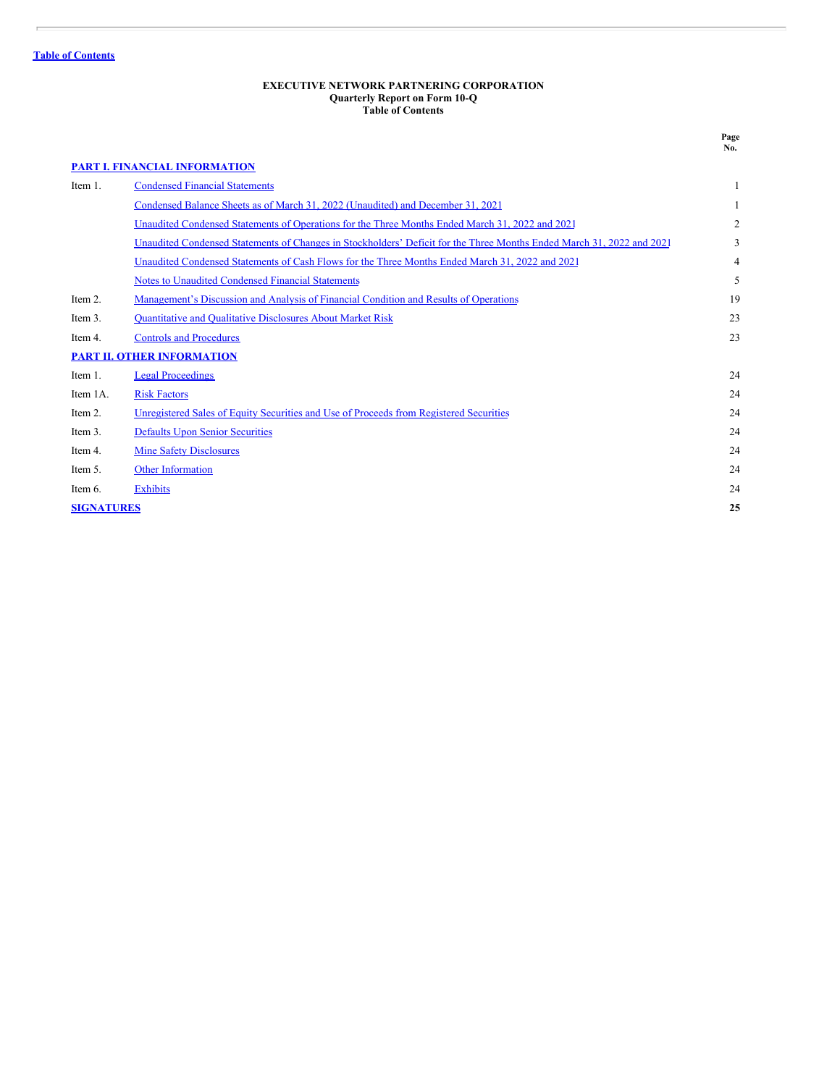#### **EXECUTIVE NETWORK PARTNERING CORPORATION Quarterly Report on Form 10-Q Table of Contents**

**Page**

### <span id="page-2-0"></span>**No. PART I. FINANCIAL [INFORMATION](#page-3-0)** Item 1. [Condensed](#page-3-1) Financial Statements 1 Condensed Balance Sheets as of March 31, 2022 [\(Unaudited\)](#page-3-2) and December 31, 2021 1 Unaudited [Condensed](#page-4-0) Statements of Operations for the Three Months Ended March 31, 2022 and 2021 2 Unaudited Condensed Statements of Changes in [Stockholders'](#page-5-0) Deficit for the Three Months Ended March 31, 2022 and 2021 3 Unaudited [Condensed](#page-6-0) Statements of Cash Flows for the Three Months Ended March 31, 2022 and 2021 4 Notes to Unaudited [Condensed](#page-7-0) Financial Statements 5 Item 2. [Management's](#page-21-0) Discussion and Analysis of Financial Condition and Results of Operations 19 Item 3. [Quantitative](#page-25-0) and Qualitative Disclosures About Market Risk 23 23 Item 4. Controls and [Procedures](#page-25-1) 23 **PART II. OTHER [INFORMATION](#page-26-0)** Item 1. Legal [Proceedings](#page-26-1) 24 Item 1A. Risk [Factors](#page-26-2) 24 Item 2. [Unregistered](#page-26-3) Sales of Equity Securities and Use of Proceeds from Registered Securities 24 Item 3. Defaults Upon Senior [Securities](#page-26-4) 24 Item 4. Mine Safety [Disclosures](#page-26-5) 24 Item 5. Other [Information](#page-26-6) 24 Item 6. [Exhibits](#page-26-7) 24 **[SIGNATURES](#page-27-0) 25**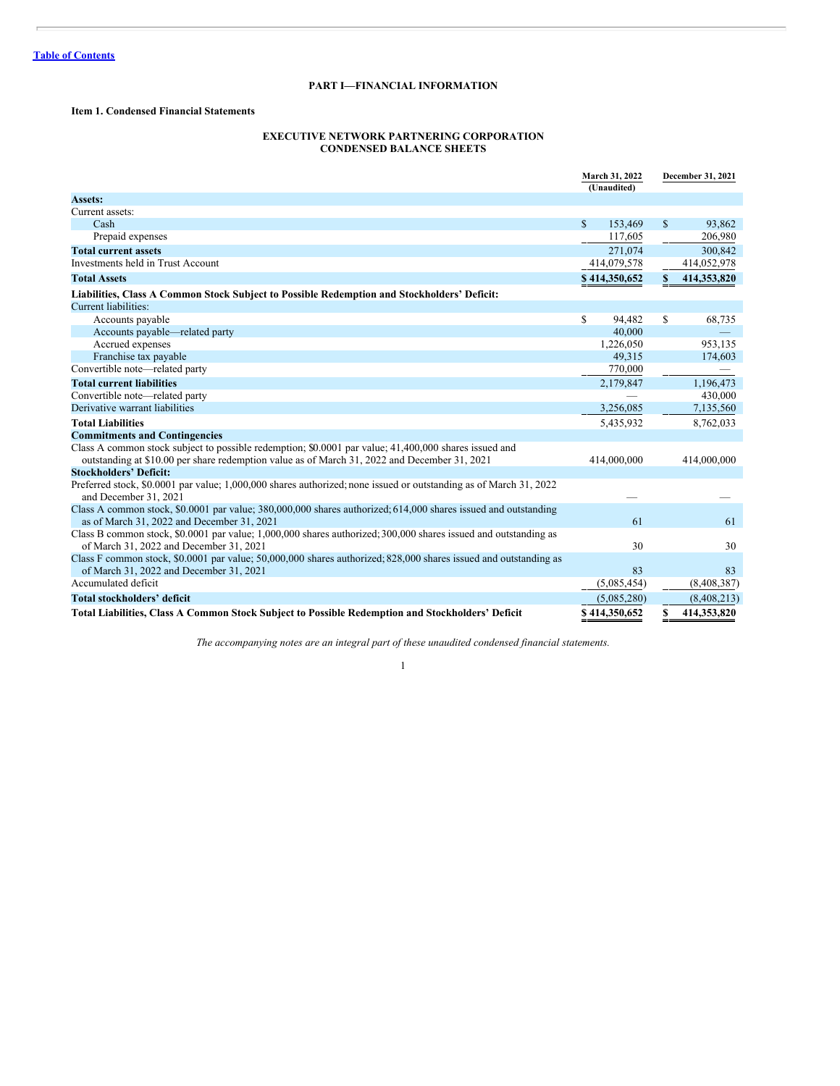### **PART I—FINANCIAL INFORMATION**

#### <span id="page-3-1"></span><span id="page-3-0"></span>**Item 1. Condensed Financial Statements**

#### **EXECUTIVE NETWORK PARTNERING CORPORATION CONDENSED BALANCE SHEETS**

<span id="page-3-2"></span>

|                                                                                                                                                                                                       |               | March 31, 2022<br>(Unaudited) |             | December 31, 2021 |
|-------------------------------------------------------------------------------------------------------------------------------------------------------------------------------------------------------|---------------|-------------------------------|-------------|-------------------|
| <b>Assets:</b>                                                                                                                                                                                        |               |                               |             |                   |
| Current assets:                                                                                                                                                                                       |               |                               |             |                   |
| Cash                                                                                                                                                                                                  | $\mathcal{S}$ | 153,469                       | $\mathbf S$ | 93,862            |
| Prepaid expenses                                                                                                                                                                                      |               | 117,605                       |             | 206,980           |
| <b>Total current assets</b>                                                                                                                                                                           |               | 271,074                       |             | 300,842           |
| Investments held in Trust Account                                                                                                                                                                     |               | 414,079,578                   |             | 414,052,978       |
| <b>Total Assets</b>                                                                                                                                                                                   |               | \$414,350,652                 | \$          | 414,353,820       |
| Liabilities, Class A Common Stock Subject to Possible Redemption and Stockholders' Deficit:                                                                                                           |               |                               |             |                   |
| Current liabilities:                                                                                                                                                                                  |               |                               |             |                   |
| Accounts payable                                                                                                                                                                                      | \$            | 94,482                        | \$          | 68,735            |
| Accounts payable—related party                                                                                                                                                                        |               | 40,000                        |             |                   |
| Accrued expenses                                                                                                                                                                                      |               | 1,226,050                     |             | 953,135           |
| Franchise tax payable                                                                                                                                                                                 |               | 49,315                        |             | 174,603           |
| Convertible note-related party                                                                                                                                                                        |               | 770,000                       |             |                   |
| <b>Total current liabilities</b>                                                                                                                                                                      |               | 2,179,847                     |             | 1,196,473         |
| Convertible note-related party                                                                                                                                                                        |               |                               |             | 430,000           |
| Derivative warrant liabilities                                                                                                                                                                        |               | 3,256,085                     |             | 7,135,560         |
| <b>Total Liabilities</b>                                                                                                                                                                              |               | 5,435,932                     |             | 8,762,033         |
| <b>Commitments and Contingencies</b>                                                                                                                                                                  |               |                               |             |                   |
| Class A common stock subject to possible redemption; \$0,0001 par value; 41,400,000 shares issued and<br>outstanding at \$10.00 per share redemption value as of March 31, 2022 and December 31, 2021 |               | 414,000,000                   |             | 414,000,000       |
| <b>Stockholders' Deficit:</b>                                                                                                                                                                         |               |                               |             |                   |
| Preferred stock, \$0.0001 par value; 1,000,000 shares authorized; none issued or outstanding as of March 31, 2022<br>and December 31, 2021                                                            |               |                               |             |                   |
| Class A common stock, \$0.0001 par value; 380,000,000 shares authorized; 614,000 shares issued and outstanding<br>as of March 31, 2022 and December 31, 2021                                          |               | 61                            |             | 61                |
| Class B common stock, \$0.0001 par value; 1,000,000 shares authorized; 300,000 shares issued and outstanding as<br>of March 31, 2022 and December 31, 2021                                            |               | 30                            |             | 30                |
| Class F common stock, \$0.0001 par value; 50,000,000 shares authorized; 828,000 shares issued and outstanding as<br>of March 31, 2022 and December 31, 2021                                           |               | 83                            |             | 83                |
| Accumulated deficit                                                                                                                                                                                   |               | (5,085,454)                   |             | (8,408,387)       |
| Total stockholders' deficit                                                                                                                                                                           |               | (5,085,280)                   |             | (8,408,213)       |
| Total Liabilities, Class A Common Stock Subject to Possible Redemption and Stockholders' Deficit                                                                                                      |               | \$414,350,652                 | S           | 414,353,820       |

*The accompanying notes are an integral part of these unaudited condensed financial statements.*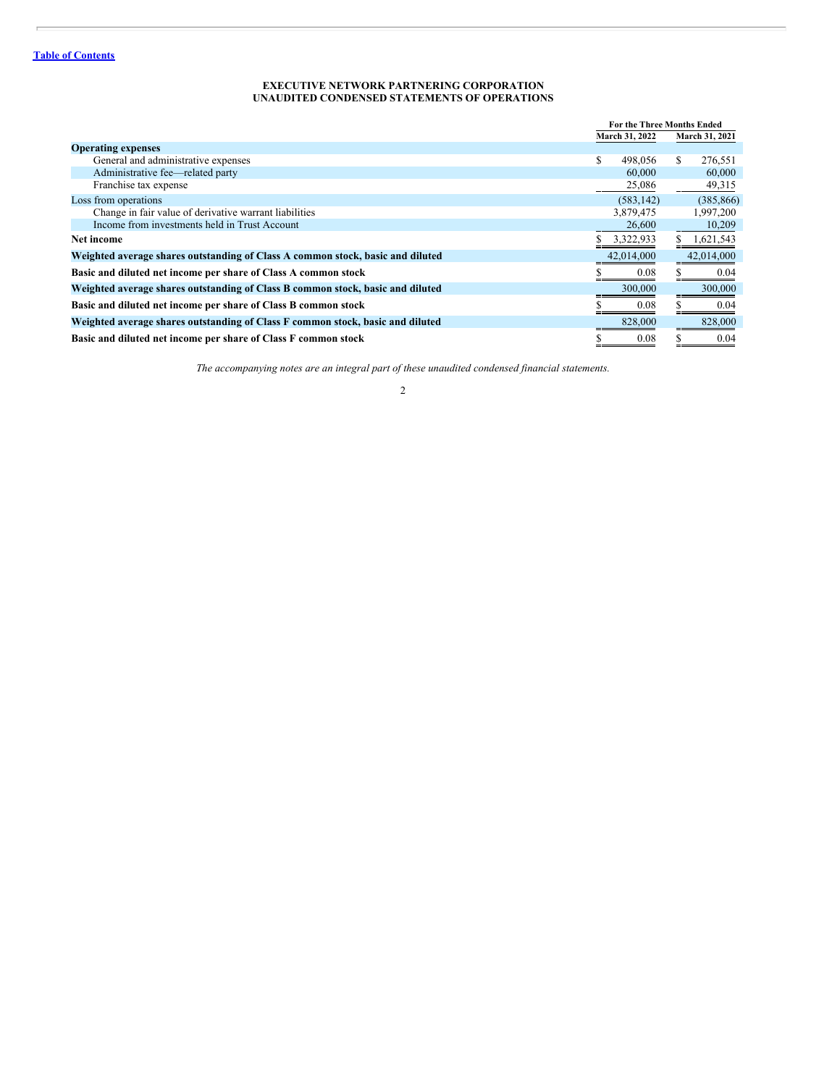#### **EXECUTIVE NETWORK PARTNERING CORPORATION UNAUDITED CONDENSED STATEMENTS OF OPERATIONS**

<span id="page-4-0"></span>

|                                                                                | <b>For the Three Months Ended</b> |                |    |                |  |
|--------------------------------------------------------------------------------|-----------------------------------|----------------|----|----------------|--|
|                                                                                |                                   | March 31, 2022 |    | March 31, 2021 |  |
| <b>Operating expenses</b>                                                      |                                   |                |    |                |  |
| General and administrative expenses                                            | S                                 | 498,056        | S. | 276,551        |  |
| Administrative fee—related party                                               |                                   | 60,000         |    | 60,000         |  |
| Franchise tax expense                                                          |                                   | 25,086         |    | 49,315         |  |
| Loss from operations                                                           |                                   | (583, 142)     |    | (385, 866)     |  |
| Change in fair value of derivative warrant liabilities                         |                                   | 3,879,475      |    | 1,997,200      |  |
| Income from investments held in Trust Account                                  |                                   | 26,600         |    | 10,209         |  |
| Net income                                                                     |                                   | 3,322,933      |    | 1,621,543      |  |
| Weighted average shares outstanding of Class A common stock, basic and diluted |                                   | 42,014,000     |    | 42,014,000     |  |
| Basic and diluted net income per share of Class A common stock                 |                                   | 0.08           |    | 0.04           |  |
| Weighted average shares outstanding of Class B common stock, basic and diluted |                                   | 300,000        |    | 300,000        |  |
| Basic and diluted net income per share of Class B common stock                 |                                   | 0.08           |    | 0.04           |  |
| Weighted average shares outstanding of Class F common stock, basic and diluted |                                   | 828,000        |    | 828,000        |  |
| Basic and diluted net income per share of Class F common stock                 |                                   | 0.08           |    | 0.04           |  |

*The accompanying notes are an integral part of these unaudited condensed financial statements.*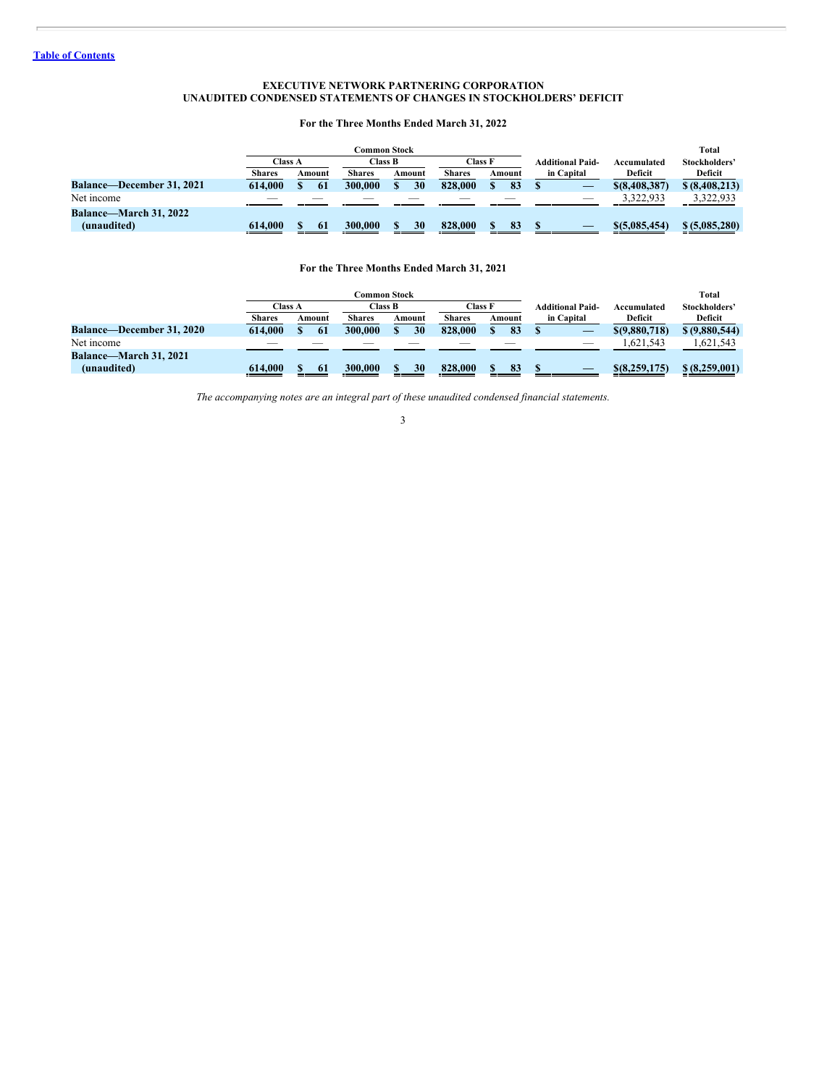#### **EXECUTIVE NETWORK PARTNERING CORPORATION UNAUDITED CONDENSED STATEMENTS OF CHANGES IN STOCKHOLDERS' DEFICIT**

#### **For the Three Months Ended March 31, 2022**

<span id="page-5-0"></span>

|                                  | <b>Class A</b> |        | Common Stock<br>Class B |        | <b>Class F</b> |        | <b>Additional Paid-</b> | Accumulated      | Total<br>Stockholders' |
|----------------------------------|----------------|--------|-------------------------|--------|----------------|--------|-------------------------|------------------|------------------------|
|                                  | <b>Shares</b>  | Amount | <b>Shares</b>           | Amount | <b>Shares</b>  | Amount | in Capital              | Deficit          | Deficit                |
| <b>Balance—December 31, 2021</b> | 614.000        | 61     | 300,000                 | 30     | 828,000        | 83     |                         | \$ (8, 408, 387) | \$ (8,408,213)         |
| Net income                       |                |        |                         |        |                |        |                         | 3,322,933        | 3,322,933              |
| Balance—March 31, 2022           |                |        |                         |        |                |        |                         |                  |                        |
| (unaudited)                      | 614.000        | 61     | 300,000                 | 30     | 828,000        | 83     |                         | \$ (5,085,454)   | \$ (5.085.280)         |

#### **For the Three Months Ended March 31, 2021**

|                                  |               |        | Common Stock-  |        |               |        |                         |               | Total          |
|----------------------------------|---------------|--------|----------------|--------|---------------|--------|-------------------------|---------------|----------------|
|                                  | Class A       |        | <b>Class B</b> |        | Class F       |        | <b>Additional Paid-</b> | Accumulated   | Stockholders'  |
|                                  | <b>Shares</b> | Amount | <b>Shares</b>  | Amount | <b>Shares</b> | Amount | in Capital              | Deficit       | Deficit        |
| <b>Balance—December 31, 2020</b> | 614,000       | 61     | 300,000        | 30     | 828,000       | 83     |                         | \$(9,880,718) | \$ (9,880,544) |
| Net income                       |               |        |                |        |               |        | _                       | 1.621.543     | 1.621.543      |
| Balance—March 31, 2021           |               |        |                |        |               |        |                         |               |                |
| (unaudited)                      | 614.000       | 61     | 300,000        | 30     | 828,000       | 83     |                         | \$(8,259,175) | \$ (8,259,001) |

*The accompanying notes are an integral part of these unaudited condensed financial statements.*

<sup>3</sup>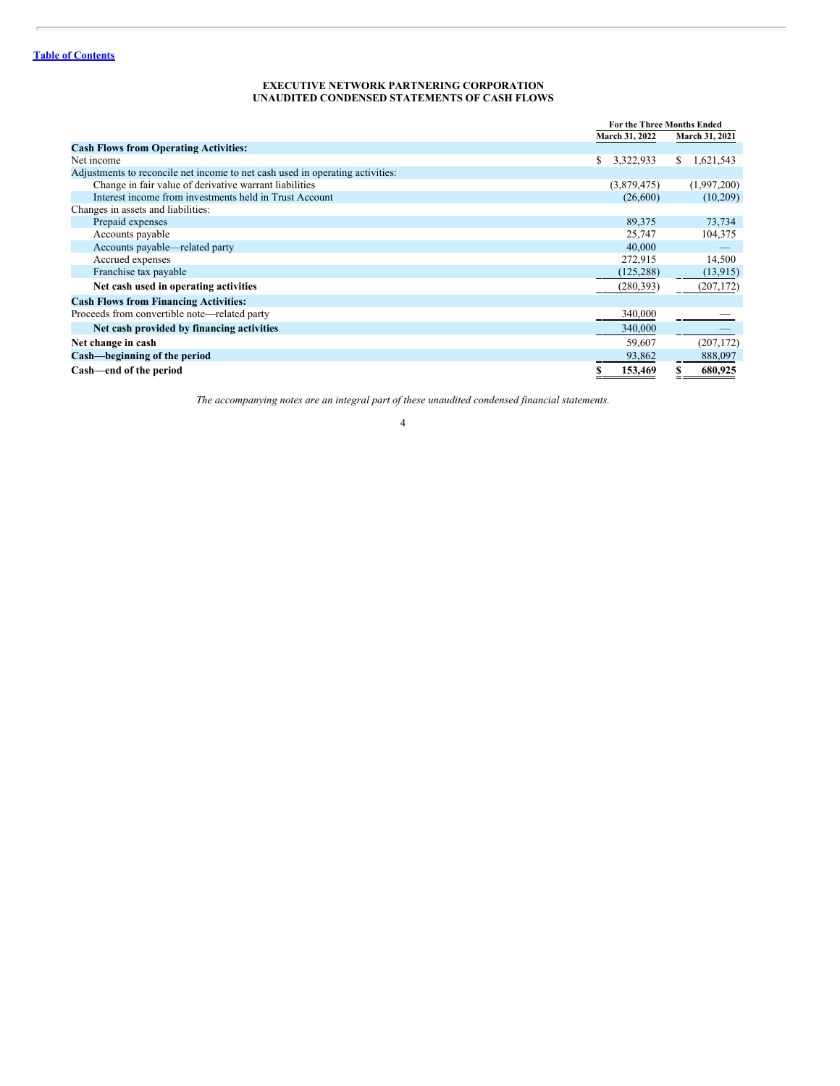#### **EXECUTIVE NETWORK PARTNERING CORPORATION UNAUDITED CONDENSED STATEMENTS OF CASH FLOWS**

<span id="page-6-0"></span>

|                                                                               |    | <b>For the Three Months Ended</b> |    |                       |
|-------------------------------------------------------------------------------|----|-----------------------------------|----|-----------------------|
|                                                                               |    | March 31, 2022                    |    | <b>March 31, 2021</b> |
| <b>Cash Flows from Operating Activities:</b>                                  |    |                                   |    |                       |
| Net income                                                                    | S. | 3,322,933                         | S. | 1,621,543             |
| Adjustments to reconcile net income to net cash used in operating activities: |    |                                   |    |                       |
| Change in fair value of derivative warrant liabilities                        |    | (3,879,475)                       |    | (1,997,200)           |
| Interest income from investments held in Trust Account                        |    | (26,600)                          |    | (10,209)              |
| Changes in assets and liabilities:                                            |    |                                   |    |                       |
| Prepaid expenses                                                              |    | 89,375                            |    | 73,734                |
| Accounts payable                                                              |    | 25,747                            |    | 104,375               |
| Accounts payable—related party                                                |    | 40,000                            |    |                       |
| Accrued expenses                                                              |    | 272,915                           |    | 14,500                |
| Franchise tax payable                                                         |    | (125, 288)                        |    | (13,915)              |
| Net cash used in operating activities                                         |    | (280,393)                         |    | (207, 172)            |
| <b>Cash Flows from Financing Activities:</b>                                  |    |                                   |    |                       |
| Proceeds from convertible note—related party                                  |    | 340,000                           |    |                       |
| Net cash provided by financing activities                                     |    | 340,000                           |    |                       |
| Net change in cash                                                            |    | 59,607                            |    | (207, 172)            |
| Cash—beginning of the period                                                  |    | 93,862                            |    | 888,097               |
| Cash—end of the period                                                        |    | 153,469                           |    | 680,925               |

*The accompanying notes are an integral part of these unaudited condensed financial statements.*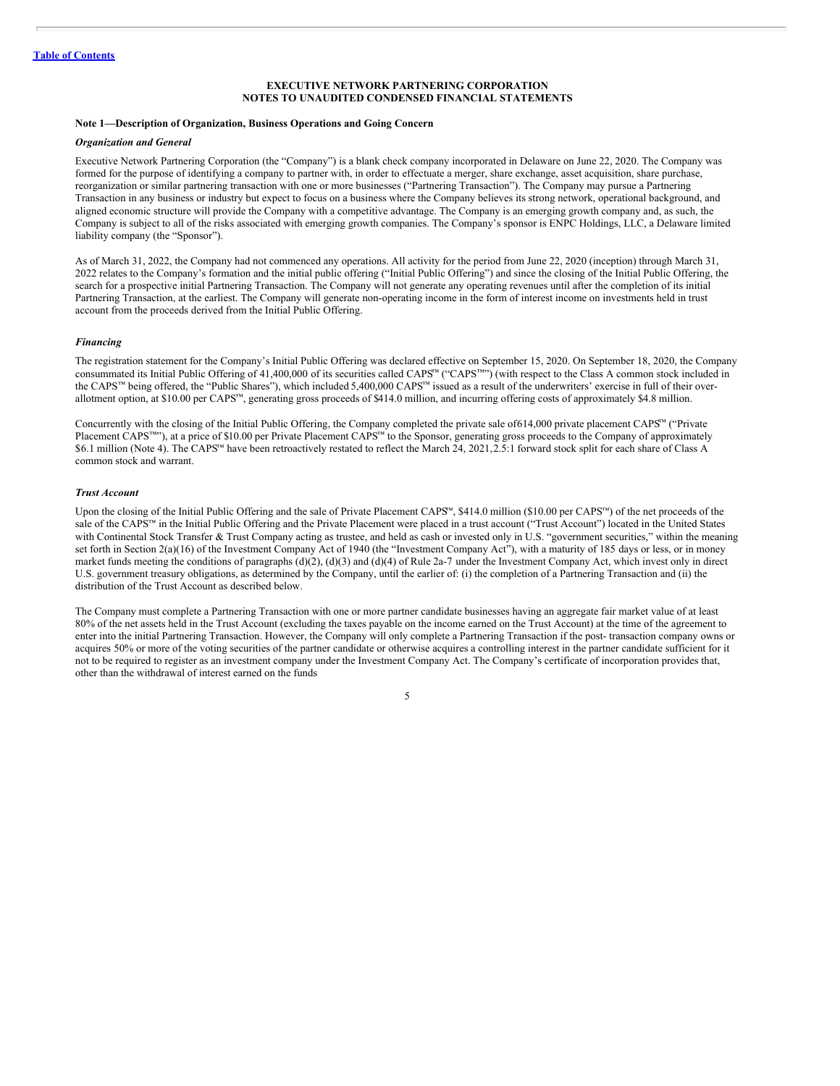#### <span id="page-7-0"></span>**Note 1—Description of Organization, Business Operations and Going Concern**

#### *Organization and General*

Executive Network Partnering Corporation (the "Company") is a blank check company incorporated in Delaware on June 22, 2020. The Company was formed for the purpose of identifying a company to partner with, in order to effectuate a merger, share exchange, asset acquisition, share purchase, reorganization or similar partnering transaction with one or more businesses ("Partnering Transaction"). The Company may pursue a Partnering Transaction in any business or industry but expect to focus on a business where the Company believes its strong network, operational background, and aligned economic structure will provide the Company with a competitive advantage. The Company is an emerging growth company and, as such, the Company is subject to all of the risks associated with emerging growth companies. The Company's sponsor is ENPC Holdings, LLC, a Delaware limited liability company (the "Sponsor").

As of March 31, 2022, the Company had not commenced any operations. All activity for the period from June 22, 2020 (inception) through March 31, 2022 relates to the Company's formation and the initial public offering ("Initial Public Offering") and since the closing of the Initial Public Offering, the search for a prospective initial Partnering Transaction. The Company will not generate any operating revenues until after the completion of its initial Partnering Transaction, at the earliest. The Company will generate non-operating income in the form of interest income on investments held in trust account from the proceeds derived from the Initial Public Offering.

#### *Financing*

The registration statement for the Company's Initial Public Offering was declared effective on September 15, 2020. On September 18, 2020, the Company consummated its Initial Public Offering of 41,400,000 of its securities called CAPS™ ("CAPS™") (with respect to the Class A common stock included in the CAPS™ being offered, the "Public Shares"), which included 5,400,000 CAPS™ issued as a result of the underwriters' exercise in full of their overallotment option, at \$10.00 per CAPS™, generating gross proceeds of \$414.0 million, and incurring offering costs of approximately \$4.8 million.

Concurrently with the closing of the Initial Public Offering, the Company completed the private sale of614,000 private placement CAPS™ ("Private Placement CAPS™"), at a price of \$10.00 per Private Placement CAPS™ to the Sponsor, generating gross proceeds to the Company of approximately \$6.1 million (Note 4). The CAPS™ have been retroactively restated to reflect the March 24, 2021,2.5:1 forward stock split for each share of Class A common stock and warrant.

#### *Trust Account*

Upon the closing of the Initial Public Offering and the sale of Private Placement CAPS<sup>™</sup>, \$414.0 million (\$10.00 per CAPS™) of the net proceeds of the sale of the CAPS™ in the Initial Public Offering and the Private Placement were placed in a trust account ("Trust Account") located in the United States with Continental Stock Transfer & Trust Company acting as trustee, and held as cash or invested only in U.S. "government securities," within the meaning set forth in Section 2(a)(16) of the Investment Company Act of 1940 (the "Investment Company Act"), with a maturity of 185 days or less, or in money market funds meeting the conditions of paragraphs  $(d)(2)$ ,  $(d)(3)$  and  $(d)(4)$  of Rule 2a-7 under the Investment Company Act, which invest only in direct U.S. government treasury obligations, as determined by the Company, until the earlier of: (i) the completion of a Partnering Transaction and (ii) the distribution of the Trust Account as described below.

The Company must complete a Partnering Transaction with one or more partner candidate businesses having an aggregate fair market value of at least 80% of the net assets held in the Trust Account (excluding the taxes payable on the income earned on the Trust Account) at the time of the agreement to enter into the initial Partnering Transaction. However, the Company will only complete a Partnering Transaction if the post- transaction company owns or acquires 50% or more of the voting securities of the partner candidate or otherwise acquires a controlling interest in the partner candidate sufficient for it not to be required to register as an investment company under the Investment Company Act. The Company's certificate of incorporation provides that, other than the withdrawal of interest earned on the funds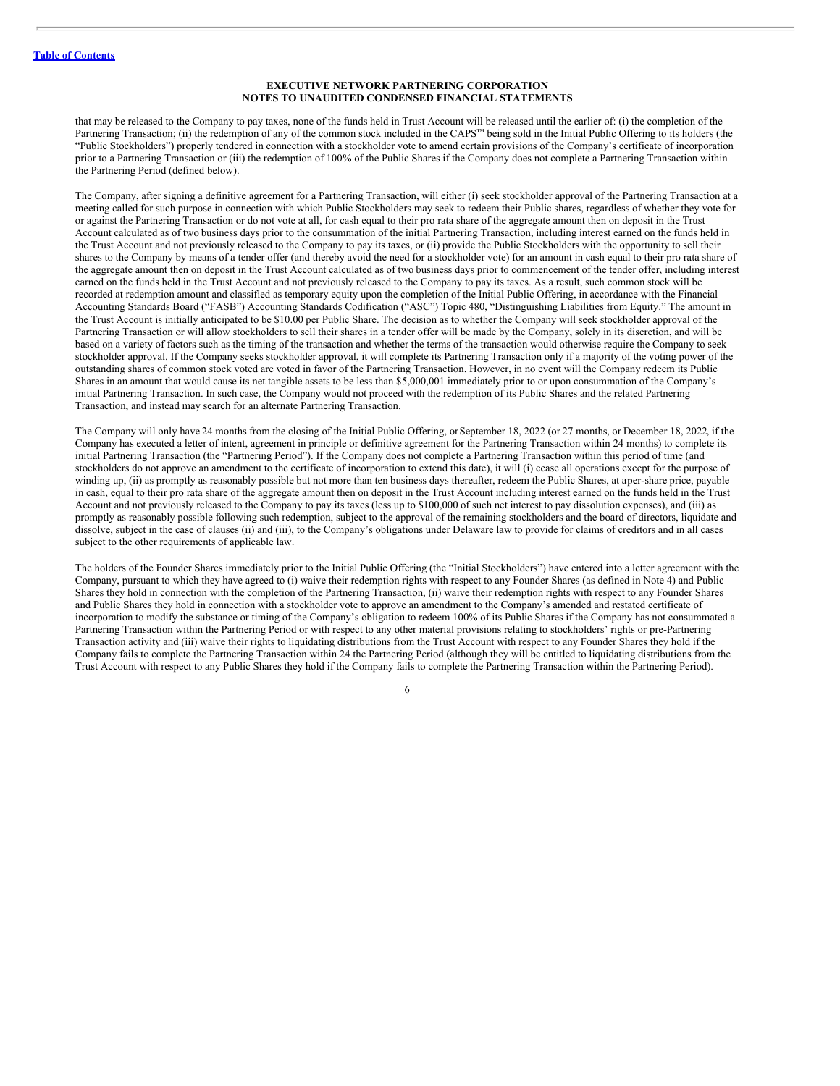that may be released to the Company to pay taxes, none of the funds held in Trust Account will be released until the earlier of: (i) the completion of the Partnering Transaction; (ii) the redemption of any of the common stock included in the CAPS™ being sold in the Initial Public Offering to its holders (the "Public Stockholders") properly tendered in connection with a stockholder vote to amend certain provisions of the Company's certificate of incorporation prior to a Partnering Transaction or (iii) the redemption of 100% of the Public Shares if the Company does not complete a Partnering Transaction within the Partnering Period (defined below).

The Company, after signing a definitive agreement for a Partnering Transaction, will either (i) seek stockholder approval of the Partnering Transaction at a meeting called for such purpose in connection with which Public Stockholders may seek to redeem their Public shares, regardless of whether they vote for or against the Partnering Transaction or do not vote at all, for cash equal to their pro rata share of the aggregate amount then on deposit in the Trust Account calculated as of two business days prior to the consummation of the initial Partnering Transaction, including interest earned on the funds held in the Trust Account and not previously released to the Company to pay its taxes, or (ii) provide the Public Stockholders with the opportunity to sell their shares to the Company by means of a tender offer (and thereby avoid the need for a stockholder vote) for an amount in cash equal to their pro rata share of the aggregate amount then on deposit in the Trust Account calculated as of two business days prior to commencement of the tender offer, including interest earned on the funds held in the Trust Account and not previously released to the Company to pay its taxes. As a result, such common stock will be recorded at redemption amount and classified as temporary equity upon the completion of the Initial Public Offering, in accordance with the Financial Accounting Standards Board ("FASB") Accounting Standards Codification ("ASC") Topic 480, "Distinguishing Liabilities from Equity." The amount in the Trust Account is initially anticipated to be \$10.00 per Public Share. The decision as to whether the Company will seek stockholder approval of the Partnering Transaction or will allow stockholders to sell their shares in a tender offer will be made by the Company, solely in its discretion, and will be based on a variety of factors such as the timing of the transaction and whether the terms of the transaction would otherwise require the Company to seek stockholder approval. If the Company seeks stockholder approval, it will complete its Partnering Transaction only if a majority of the voting power of the outstanding shares of common stock voted are voted in favor of the Partnering Transaction. However, in no event will the Company redeem its Public Shares in an amount that would cause its net tangible assets to be less than \$5,000,001 immediately prior to or upon consummation of the Company's initial Partnering Transaction. In such case, the Company would not proceed with the redemption of its Public Shares and the related Partnering Transaction, and instead may search for an alternate Partnering Transaction.

The Company will only have 24 months from the closing of the Initial Public Offering, orSeptember 18, 2022 (or 27 months, or December 18, 2022, if the Company has executed a letter of intent, agreement in principle or definitive agreement for the Partnering Transaction within 24 months) to complete its initial Partnering Transaction (the "Partnering Period"). If the Company does not complete a Partnering Transaction within this period of time (and stockholders do not approve an amendment to the certificate of incorporation to extend this date), it will (i) cease all operations except for the purpose of winding up, (ii) as promptly as reasonably possible but not more than ten business days thereafter, redeem the Public Shares, at aper-share price, payable in cash, equal to their pro rata share of the aggregate amount then on deposit in the Trust Account including interest earned on the funds held in the Trust Account and not previously released to the Company to pay its taxes (less up to \$100,000 of such net interest to pay dissolution expenses), and (iii) as promptly as reasonably possible following such redemption, subject to the approval of the remaining stockholders and the board of directors, liquidate and dissolve, subject in the case of clauses (ii) and (iii), to the Company's obligations under Delaware law to provide for claims of creditors and in all cases subject to the other requirements of applicable law.

The holders of the Founder Shares immediately prior to the Initial Public Offering (the "Initial Stockholders") have entered into a letter agreement with the Company, pursuant to which they have agreed to (i) waive their redemption rights with respect to any Founder Shares (as defined in Note 4) and Public Shares they hold in connection with the completion of the Partnering Transaction, (ii) waive their redemption rights with respect to any Founder Shares and Public Shares they hold in connection with a stockholder vote to approve an amendment to the Company's amended and restated certificate of incorporation to modify the substance or timing of the Company's obligation to redeem 100% of its Public Shares if the Company has not consummated a Partnering Transaction within the Partnering Period or with respect to any other material provisions relating to stockholders' rights or pre-Partnering Transaction activity and (iii) waive their rights to liquidating distributions from the Trust Account with respect to any Founder Shares they hold if the Company fails to complete the Partnering Transaction within 24 the Partnering Period (although they will be entitled to liquidating distributions from the Trust Account with respect to any Public Shares they hold if the Company fails to complete the Partnering Transaction within the Partnering Period).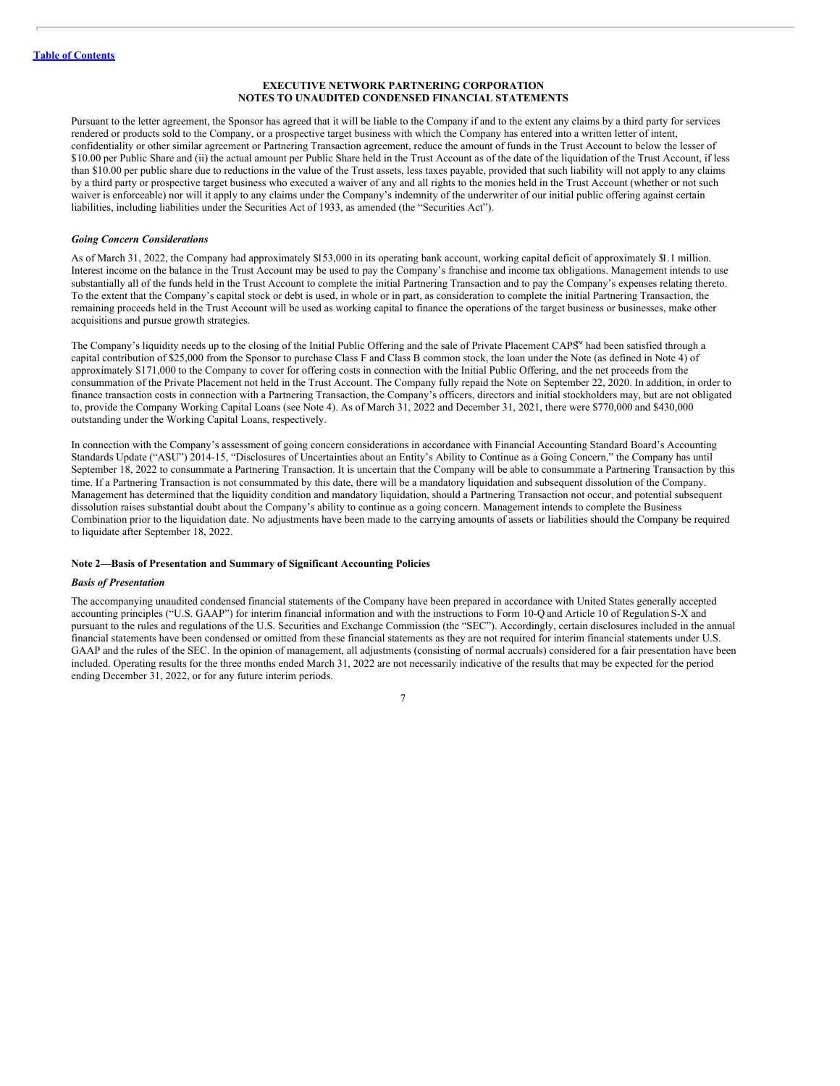Pursuant to the letter agreement, the Sponsor has agreed that it will be liable to the Company if and to the extent any claims by a third party for services rendered or products sold to the Company, or a prospective target business with which the Company has entered into a written letter of intent, confidentiality or other similar agreement or Partnering Transaction agreement, reduce the amount of funds in the Trust Account to below the lesser of \$10.00 per Public Share and (ii) the actual amount per Public Share held in the Trust Account as of the date of the liquidation of the Trust Account, if less than \$10.00 per public share due to reductions in the value of the Trust assets, less taxes payable, provided that such liability will not apply to any claims by a third party or prospective target business who executed a waiver of any and all rights to the monies held in the Trust Account (whether or not such waiver is enforceable) nor will it apply to any claims under the Company's indemnity of the underwriter of our initial public offering against certain liabilities, including liabilities under the Securities Act of 1933, as amended (the "Securities Act").

#### *Going Concern Considerations*

As of March 31, 2022, the Company had approximately \$153,000 in its operating bank account, working capital deficit of approximately \$1.1 million. Interest income on the balance in the Trust Account may be used to pay the Company's franchise and income tax obligations. Management intends to use substantially all of the funds held in the Trust Account to complete the initial Partnering Transaction and to pay the Company's expenses relating thereto. To the extent that the Company's capital stock or debt is used, in whole or in part, as consideration to complete the initial Partnering Transaction, the remaining proceeds held in the Trust Account will be used as working capital to finance the operations of the target business or businesses, make other acquisitions and pursue growth strategies.

The Company's liquidity needs up to the closing of the Initial Public Offering and the sale of Private Placement CAPS™ had been satisfied through a capital contribution of \$25,000 from the Sponsor to purchase Class F and Class B common stock, the loan under the Note (as defined in Note 4) of approximately \$171,000 to the Company to cover for offering costs in connection with the Initial Public Offering, and the net proceeds from the consummation of the Private Placement not held in the Trust Account. The Company fully repaid the Note on September 22, 2020. In addition, in order to finance transaction costs in connection with a Partnering Transaction, the Company's officers, directors and initial stockholders may, but are not obligated to, provide the Company Working Capital Loans (see Note 4). As of March 31, 2022 and December 31, 2021, there were \$770,000 and \$430,000 outstanding under the Working Capital Loans, respectively.

In connection with the Company's assessment of going concern considerations in accordance with Financial Accounting Standard Board's Accounting Standards Update ("ASU") 2014-15, "Disclosures of Uncertainties about an Entity's Ability to Continue as a Going Concern," the Company has until September 18, 2022 to consummate a Partnering Transaction. It is uncertain that the Company will be able to consummate a Partnering Transaction by this time. If a Partnering Transaction is not consummated by this date, there will be a mandatory liquidation and subsequent dissolution of the Company. Management has determined that the liquidity condition and mandatory liquidation, should a Partnering Transaction not occur, and potential subsequent dissolution raises substantial doubt about the Company's ability to continue as a going concern. Management intends to complete the Business Combination prior to the liquidation date. No adjustments have been made to the carrying amounts of assets or liabilities should the Company be required to liquidate after September 18, 2022.

#### **Note 2—Basis of Presentation and Summary of Significant Accounting Policies**

#### *Basis of Presentation*

The accompanying unaudited condensed financial statements of the Company have been prepared in accordance with United States generally accepted accounting principles ("U.S. GAAP") for interim financial information and with the instructions to Form 10-Q and Article 10 of Regulation S-X and pursuant to the rules and regulations of the U.S. Securities and Exchange Commission (the "SEC"). Accordingly, certain disclosures included in the annual financial statements have been condensed or omitted from these financial statements as they are not required for interim financial statements under U.S. GAAP and the rules of the SEC. In the opinion of management, all adjustments (consisting of normal accruals) considered for a fair presentation have been included. Operating results for the three months ended March 31, 2022 are not necessarily indicative of the results that may be expected for the period ending December 31, 2022, or for any future interim periods.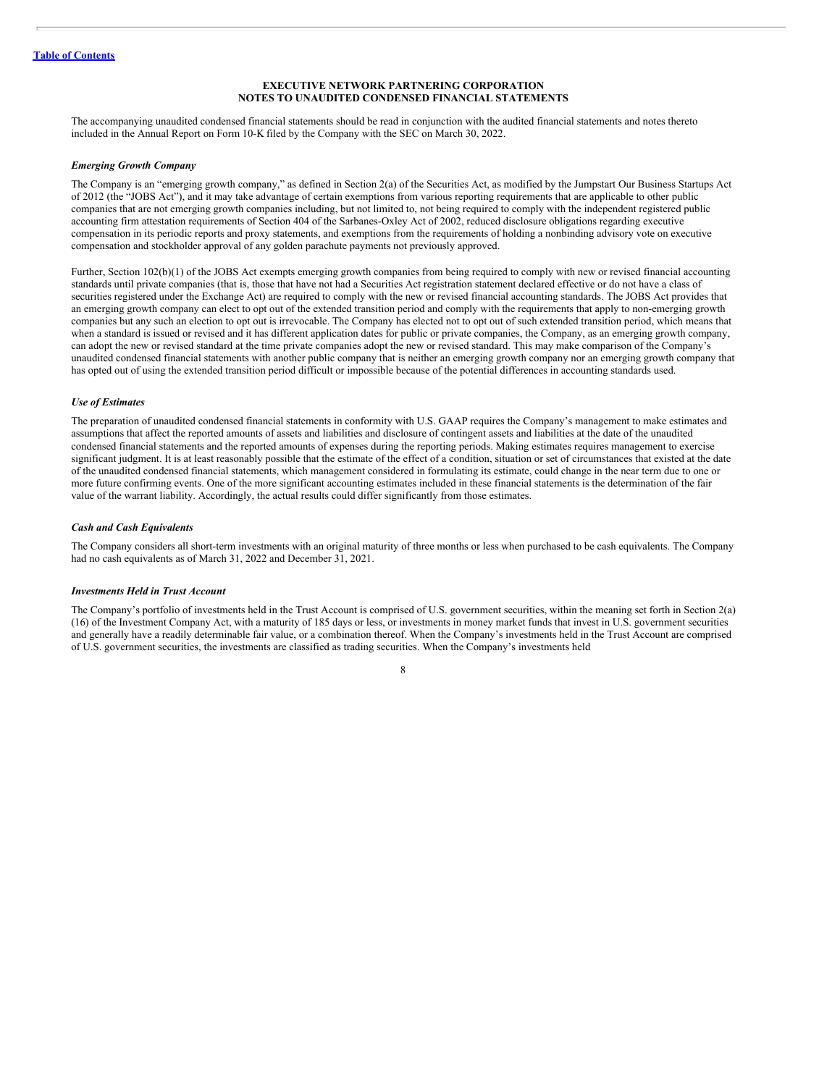The accompanying unaudited condensed financial statements should be read in conjunction with the audited financial statements and notes thereto included in the Annual Report on Form 10-K filed by the Company with the SEC on March 30, 2022.

#### *Emerging Growth Company*

The Company is an "emerging growth company," as defined in Section 2(a) of the Securities Act, as modified by the Jumpstart Our Business Startups Act of 2012 (the "JOBS Act"), and it may take advantage of certain exemptions from various reporting requirements that are applicable to other public companies that are not emerging growth companies including, but not limited to, not being required to comply with the independent registered public accounting firm attestation requirements of Section 404 of the Sarbanes-Oxley Act of 2002, reduced disclosure obligations regarding executive compensation in its periodic reports and proxy statements, and exemptions from the requirements of holding a nonbinding advisory vote on executive compensation and stockholder approval of any golden parachute payments not previously approved.

Further, Section 102(b)(1) of the JOBS Act exempts emerging growth companies from being required to comply with new or revised financial accounting standards until private companies (that is, those that have not had a Securities Act registration statement declared effective or do not have a class of securities registered under the Exchange Act) are required to comply with the new or revised financial accounting standards. The JOBS Act provides that an emerging growth company can elect to opt out of the extended transition period and comply with the requirements that apply to non-emerging growth companies but any such an election to opt out is irrevocable. The Company has elected not to opt out of such extended transition period, which means that when a standard is issued or revised and it has different application dates for public or private companies, the Company, as an emerging growth company, can adopt the new or revised standard at the time private companies adopt the new or revised standard. This may make comparison of the Company's unaudited condensed financial statements with another public company that is neither an emerging growth company nor an emerging growth company that has opted out of using the extended transition period difficult or impossible because of the potential differences in accounting standards used.

#### *Use of Estimates*

The preparation of unaudited condensed financial statements in conformity with U.S. GAAP requires the Company's management to make estimates and assumptions that affect the reported amounts of assets and liabilities and disclosure of contingent assets and liabilities at the date of the unaudited condensed financial statements and the reported amounts of expenses during the reporting periods. Making estimates requires management to exercise significant judgment. It is at least reasonably possible that the estimate of the effect of a condition, situation or set of circumstances that existed at the date of the unaudited condensed financial statements, which management considered in formulating its estimate, could change in the near term due to one or more future confirming events. One of the more significant accounting estimates included in these financial statements is the determination of the fair value of the warrant liability. Accordingly, the actual results could differ significantly from those estimates.

#### *Cash and Cash Equivalents*

The Company considers all short-term investments with an original maturity of three months or less when purchased to be cash equivalents. The Company had no cash equivalents as of March 31, 2022 and December 31, 2021.

#### *Investments Held in Trust Account*

The Company's portfolio of investments held in the Trust Account is comprised of U.S. government securities, within the meaning set forth in Section 2(a) (16) of the Investment Company Act, with a maturity of 185 days or less, or investments in money market funds that invest in U.S. government securities and generally have a readily determinable fair value, or a combination thereof. When the Company's investments held in the Trust Account are comprised of U.S. government securities, the investments are classified as trading securities. When the Company's investments held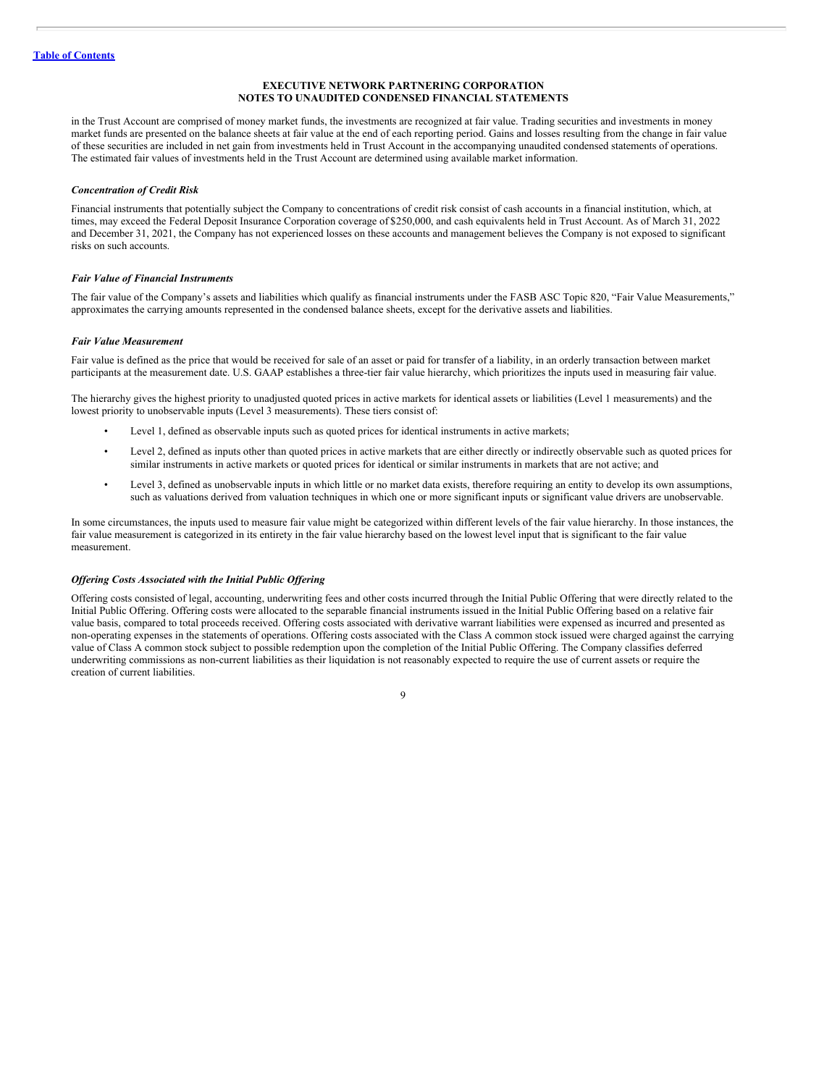in the Trust Account are comprised of money market funds, the investments are recognized at fair value. Trading securities and investments in money market funds are presented on the balance sheets at fair value at the end of each reporting period. Gains and losses resulting from the change in fair value of these securities are included in net gain from investments held in Trust Account in the accompanying unaudited condensed statements of operations. The estimated fair values of investments held in the Trust Account are determined using available market information.

#### *Concentration of Credit Risk*

Financial instruments that potentially subject the Company to concentrations of credit risk consist of cash accounts in a financial institution, which, at times, may exceed the Federal Deposit Insurance Corporation coverage of \$250,000, and cash equivalents held in Trust Account. As of March 31, 2022 and December 31, 2021, the Company has not experienced losses on these accounts and management believes the Company is not exposed to significant risks on such accounts.

#### *Fair Value of Financial Instruments*

The fair value of the Company's assets and liabilities which qualify as financial instruments under the FASB ASC Topic 820, "Fair Value Measurements," approximates the carrying amounts represented in the condensed balance sheets, except for the derivative assets and liabilities.

#### *Fair Value Measurement*

Fair value is defined as the price that would be received for sale of an asset or paid for transfer of a liability, in an orderly transaction between market participants at the measurement date. U.S. GAAP establishes a three-tier fair value hierarchy, which prioritizes the inputs used in measuring fair value.

The hierarchy gives the highest priority to unadjusted quoted prices in active markets for identical assets or liabilities (Level 1 measurements) and the lowest priority to unobservable inputs (Level 3 measurements). These tiers consist of:

- Level 1, defined as observable inputs such as quoted prices for identical instruments in active markets;
- Level 2, defined as inputs other than quoted prices in active markets that are either directly or indirectly observable such as quoted prices for similar instruments in active markets or quoted prices for identical or similar instruments in markets that are not active; and
- Level 3, defined as unobservable inputs in which little or no market data exists, therefore requiring an entity to develop its own assumptions, such as valuations derived from valuation techniques in which one or more significant inputs or significant value drivers are unobservable.

In some circumstances, the inputs used to measure fair value might be categorized within different levels of the fair value hierarchy. In those instances, the fair value measurement is categorized in its entirety in the fair value hierarchy based on the lowest level input that is significant to the fair value measurement.

#### *Of ering Costs Associated with the Initial Public Of ering*

Offering costs consisted of legal, accounting, underwriting fees and other costs incurred through the Initial Public Offering that were directly related to the Initial Public Offering. Offering costs were allocated to the separable financial instruments issued in the Initial Public Offering based on a relative fair value basis, compared to total proceeds received. Offering costs associated with derivative warrant liabilities were expensed as incurred and presented as non-operating expenses in the statements of operations. Offering costs associated with the Class A common stock issued were charged against the carrying value of Class A common stock subject to possible redemption upon the completion of the Initial Public Offering. The Company classifies deferred underwriting commissions as non-current liabilities as their liquidation is not reasonably expected to require the use of current assets or require the creation of current liabilities.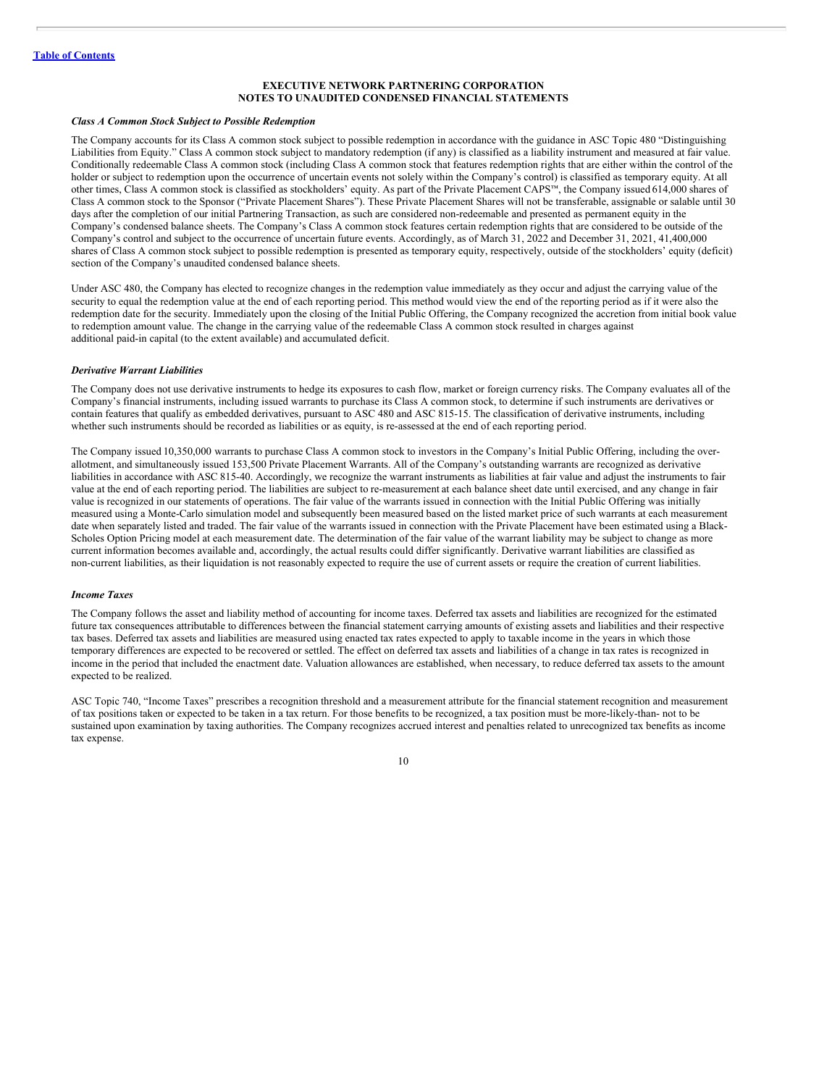#### *Class A Common Stock Subject to Possible Redemption*

The Company accounts for its Class A common stock subject to possible redemption in accordance with the guidance in ASC Topic 480 "Distinguishing Liabilities from Equity." Class A common stock subject to mandatory redemption (if any) is classified as a liability instrument and measured at fair value. Conditionally redeemable Class A common stock (including Class A common stock that features redemption rights that are either within the control of the holder or subject to redemption upon the occurrence of uncertain events not solely within the Company's control) is classified as temporary equity. At all other times, Class A common stock is classified as stockholders' equity. As part of the Private Placement CAPS™, the Company issued 614,000 shares of Class A common stock to the Sponsor ("Private Placement Shares"). These Private Placement Shares will not be transferable, assignable or salable until 30 days after the completion of our initial Partnering Transaction, as such are considered non-redeemable and presented as permanent equity in the Company's condensed balance sheets. The Company's Class A common stock features certain redemption rights that are considered to be outside of the Company's control and subject to the occurrence of uncertain future events. Accordingly, as of March 31, 2022 and December 31, 2021, 41,400,000 shares of Class A common stock subject to possible redemption is presented as temporary equity, respectively, outside of the stockholders' equity (deficit) section of the Company's unaudited condensed balance sheets.

Under ASC 480, the Company has elected to recognize changes in the redemption value immediately as they occur and adjust the carrying value of the security to equal the redemption value at the end of each reporting period. This method would view the end of the reporting period as if it were also the redemption date for the security. Immediately upon the closing of the Initial Public Offering, the Company recognized the accretion from initial book value to redemption amount value. The change in the carrying value of the redeemable Class A common stock resulted in charges against additional paid-in capital (to the extent available) and accumulated deficit.

#### *Derivative Warrant Liabilities*

The Company does not use derivative instruments to hedge its exposures to cash flow, market or foreign currency risks. The Company evaluates all of the Company's financial instruments, including issued warrants to purchase its Class A common stock, to determine if such instruments are derivatives or contain features that qualify as embedded derivatives, pursuant to ASC 480 and ASC 815-15. The classification of derivative instruments, including whether such instruments should be recorded as liabilities or as equity, is re-assessed at the end of each reporting period.

The Company issued 10,350,000 warrants to purchase Class A common stock to investors in the Company's Initial Public Offering, including the overallotment, and simultaneously issued 153,500 Private Placement Warrants. All of the Company's outstanding warrants are recognized as derivative liabilities in accordance with ASC 815-40. Accordingly, we recognize the warrant instruments as liabilities at fair value and adjust the instruments to fair value at the end of each reporting period. The liabilities are subject to re-measurement at each balance sheet date until exercised, and any change in fair value is recognized in our statements of operations. The fair value of the warrants issued in connection with the Initial Public Offering was initially measured using a Monte-Carlo simulation model and subsequently been measured based on the listed market price of such warrants at each measurement date when separately listed and traded. The fair value of the warrants issued in connection with the Private Placement have been estimated using a Black-Scholes Option Pricing model at each measurement date. The determination of the fair value of the warrant liability may be subject to change as more current information becomes available and, accordingly, the actual results could differ significantly. Derivative warrant liabilities are classified as non-current liabilities, as their liquidation is not reasonably expected to require the use of current assets or require the creation of current liabilities.

#### *Income Taxes*

The Company follows the asset and liability method of accounting for income taxes. Deferred tax assets and liabilities are recognized for the estimated future tax consequences attributable to differences between the financial statement carrying amounts of existing assets and liabilities and their respective tax bases. Deferred tax assets and liabilities are measured using enacted tax rates expected to apply to taxable income in the years in which those temporary differences are expected to be recovered or settled. The effect on deferred tax assets and liabilities of a change in tax rates is recognized in income in the period that included the enactment date. Valuation allowances are established, when necessary, to reduce deferred tax assets to the amount expected to be realized.

ASC Topic 740, "Income Taxes" prescribes a recognition threshold and a measurement attribute for the financial statement recognition and measurement of tax positions taken or expected to be taken in a tax return. For those benefits to be recognized, a tax position must be more-likely-than- not to be sustained upon examination by taxing authorities. The Company recognizes accrued interest and penalties related to unrecognized tax benefits as income tax expense.

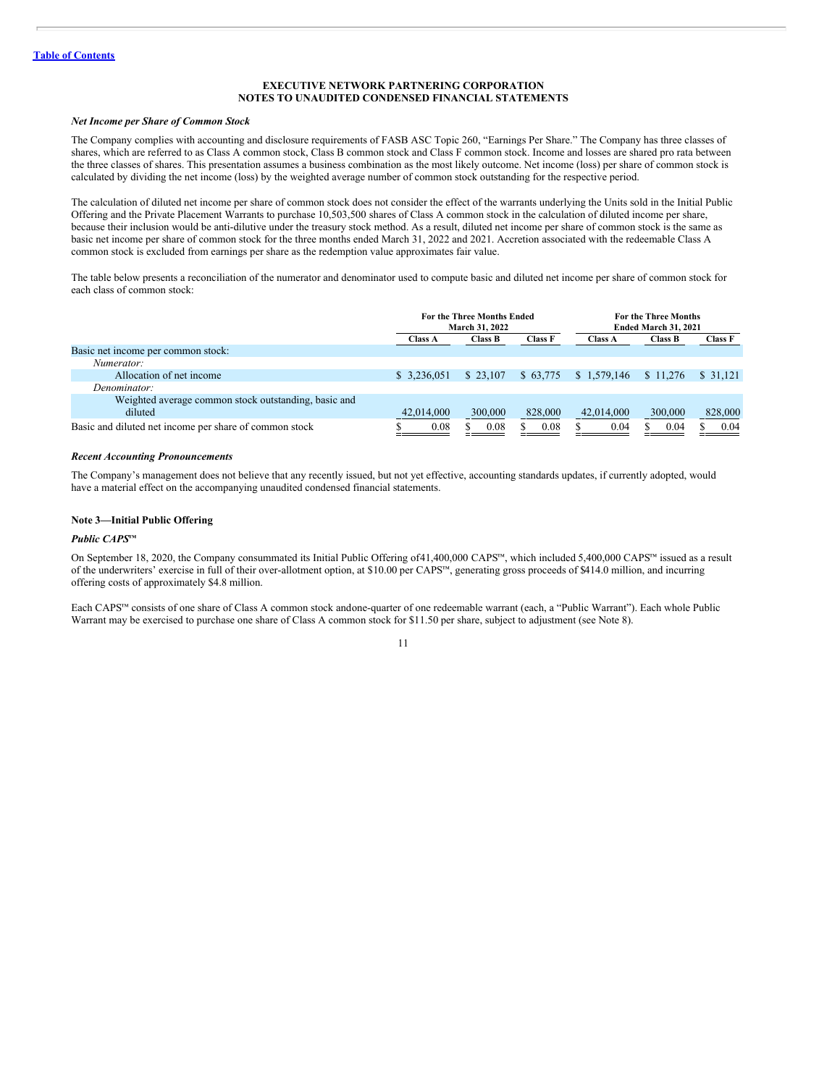#### *Net Income per Share of Common Stock*

The Company complies with accounting and disclosure requirements of FASB ASC Topic 260, "Earnings Per Share." The Company has three classes of shares, which are referred to as Class A common stock, Class B common stock and Class F common stock. Income and losses are shared pro rata between the three classes of shares. This presentation assumes a business combination as the most likely outcome. Net income (loss) per share of common stock is calculated by dividing the net income (loss) by the weighted average number of common stock outstanding for the respective period.

The calculation of diluted net income per share of common stock does not consider the effect of the warrants underlying the Units sold in the Initial Public Offering and the Private Placement Warrants to purchase 10,503,500 shares of Class A common stock in the calculation of diluted income per share, because their inclusion would be anti-dilutive under the treasury stock method. As a result, diluted net income per share of common stock is the same as basic net income per share of common stock for the three months ended March 31, 2022 and 2021. Accretion associated with the redeemable Class A common stock is excluded from earnings per share as the redemption value approximates fair value.

The table below presents a reconciliation of the numerator and denominator used to compute basic and diluted net income per share of common stock for each class of common stock:

|                                                        | <b>For the Three Months Ended</b><br>March 31, 2022 |          |                | <b>For the Three Months</b><br>Ended March 31, 2021 |                |                |
|--------------------------------------------------------|-----------------------------------------------------|----------|----------------|-----------------------------------------------------|----------------|----------------|
|                                                        | <b>Class A</b>                                      | Class B  | <b>Class F</b> | <b>Class A</b>                                      | <b>Class B</b> | <b>Class F</b> |
| Basic net income per common stock:                     |                                                     |          |                |                                                     |                |                |
| Numerator:                                             |                                                     |          |                |                                                     |                |                |
| Allocation of net income                               | \$ 3.236,051                                        | \$23,107 | \$63,775       | \$1,579,146                                         | \$11.276       | \$ 31,121      |
| Denominator:                                           |                                                     |          |                |                                                     |                |                |
| Weighted average common stock outstanding, basic and   |                                                     |          |                |                                                     |                |                |
| diluted                                                | 42,014,000                                          | 300,000  | 828,000        | 42,014,000                                          | 300,000        | 828,000        |
| Basic and diluted net income per share of common stock | 0.08                                                | 0.08     | 0.08           | 0.04                                                | 0.04           | 0.04           |

#### *Recent Accounting Pronouncements*

The Company's management does not believe that any recently issued, but not yet effective, accounting standards updates, if currently adopted, would have a material effect on the accompanying unaudited condensed financial statements.

#### **Note 3—Initial Public Offering**

#### *Public CAPS™*

On September 18, 2020, the Company consummated its Initial Public Offering of41,400,000 CAPS™, which included 5,400,000 CAPS™ issued as a result of the underwriters' exercise in full of their over-allotment option, at \$10.00 per CAPS™, generating gross proceeds of \$414.0 million, and incurring offering costs of approximately \$4.8 million.

Each CAPS™ consists of one share of Class A common stock andone-quarter of one redeemable warrant (each, a "Public Warrant"). Each whole Public Warrant may be exercised to purchase one share of Class A common stock for \$11.50 per share, subject to adjustment (see Note 8).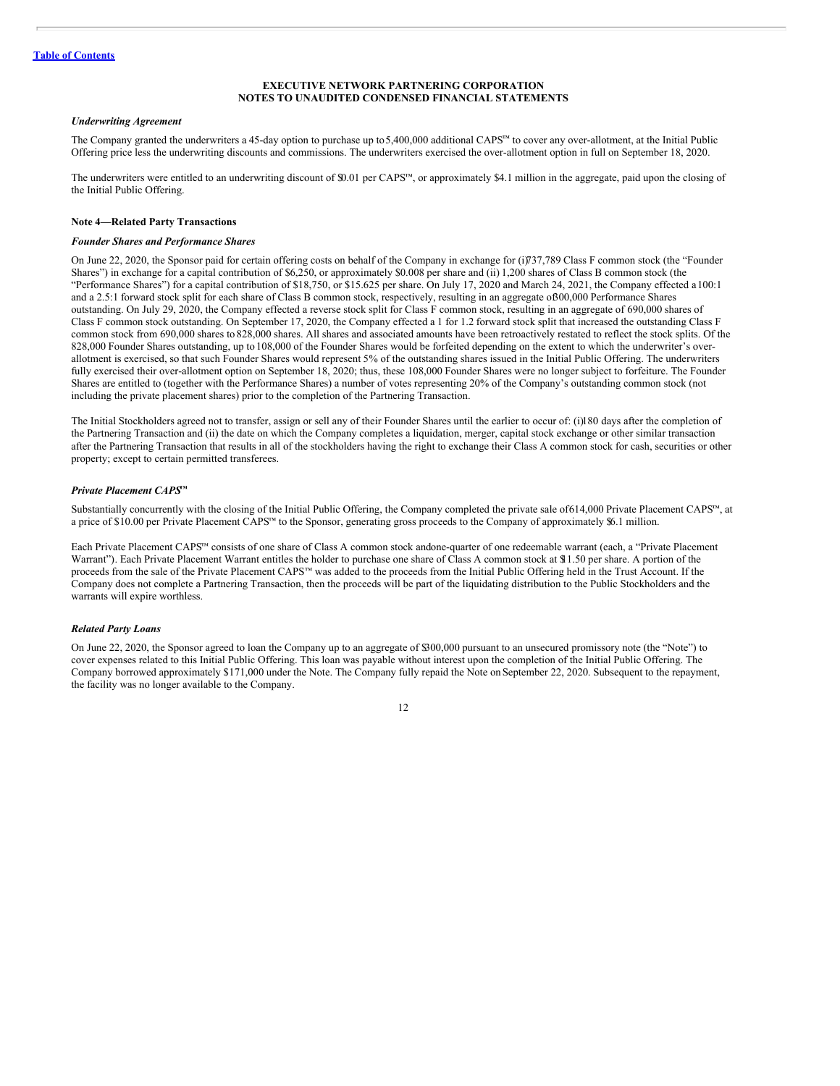#### *Underwriting Agreement*

The Company granted the underwriters a 45-day option to purchase up to5,400,000 additional CAPS™ to cover any over-allotment, at the Initial Public Offering price less the underwriting discounts and commissions. The underwriters exercised the over-allotment option in full on September 18, 2020.

The underwriters were entitled to an underwriting discount of \$0.01 per CAPS™, or approximately \$4.1 million in the aggregate, paid upon the closing of the Initial Public Offering.

#### **Note 4—Related Party Transactions**

#### *Founder Shares and Performance Shares*

On June 22, 2020, the Sponsor paid for certain offering costs on behalf of the Company in exchange for  $(i737,789$  Class F common stock (the "Founder" Shares") in exchange for a capital contribution of \$6,250, or approximately \$0.008 per share and (ii) 1,200 shares of Class B common stock (the "Performance Shares") for a capital contribution of \$18,750, or \$15.625 per share. On July 17, 2020 and March 24, 2021, the Company effected a100:1 and a 2.5:1 forward stock split for each share of Class B common stock, respectively, resulting in an aggregate of300,000 Performance Shares outstanding. On July 29, 2020, the Company effected a reverse stock split for Class F common stock, resulting in an aggregate of 690,000 shares of Class F common stock outstanding. On September 17, 2020, the Company effected a 1 for 1.2 forward stock split that increased the outstanding Class F common stock from 690,000 shares to 828,000 shares. All shares and associated amounts have been retroactively restated to reflect the stock splits. Of the 828,000 Founder Shares outstanding, up to 108,000 of the Founder Shares would be forfeited depending on the extent to which the underwriter's overallotment is exercised, so that such Founder Shares would represent 5% of the outstanding shares issued in the Initial Public Offering. The underwriters fully exercised their over-allotment option on September 18, 2020; thus, these 108,000 Founder Shares were no longer subject to forfeiture. The Founder Shares are entitled to (together with the Performance Shares) a number of votes representing 20% of the Company's outstanding common stock (not including the private placement shares) prior to the completion of the Partnering Transaction.

The Initial Stockholders agreed not to transfer, assign or sell any of their Founder Shares until the earlier to occur of: (i)180 days after the completion of the Partnering Transaction and (ii) the date on which the Company completes a liquidation, merger, capital stock exchange or other similar transaction after the Partnering Transaction that results in all of the stockholders having the right to exchange their Class A common stock for cash, securities or other property; except to certain permitted transferees.

#### *Private Placement CAPS™*

Substantially concurrently with the closing of the Initial Public Offering, the Company completed the private sale of614,000 Private Placement CAPS™, at a price of \$10.00 per Private Placement CAPS™ to the Sponsor, generating gross proceeds to the Company of approximately \$6.1 million.

Each Private Placement CAPS™ consists of one share of Class A common stock andone-quarter of one redeemable warrant (each, a "Private Placement Warrant"). Each Private Placement Warrant entitles the holder to purchase one share of Class A common stock at \$11.50 per share. A portion of the proceeds from the sale of the Private Placement CAPS™ was added to the proceeds from the Initial Public Offering held in the Trust Account. If the Company does not complete a Partnering Transaction, then the proceeds will be part of the liquidating distribution to the Public Stockholders and the warrants will expire worthless.

#### *Related Party Loans*

On June 22, 2020, the Sponsor agreed to loan the Company up to an aggregate of \$300,000 pursuant to an unsecured promissory note (the "Note") to cover expenses related to this Initial Public Offering. This loan was payable without interest upon the completion of the Initial Public Offering. The Company borrowed approximately \$171,000 under the Note. The Company fully repaid the Note onSeptember 22, 2020. Subsequent to the repayment, the facility was no longer available to the Company.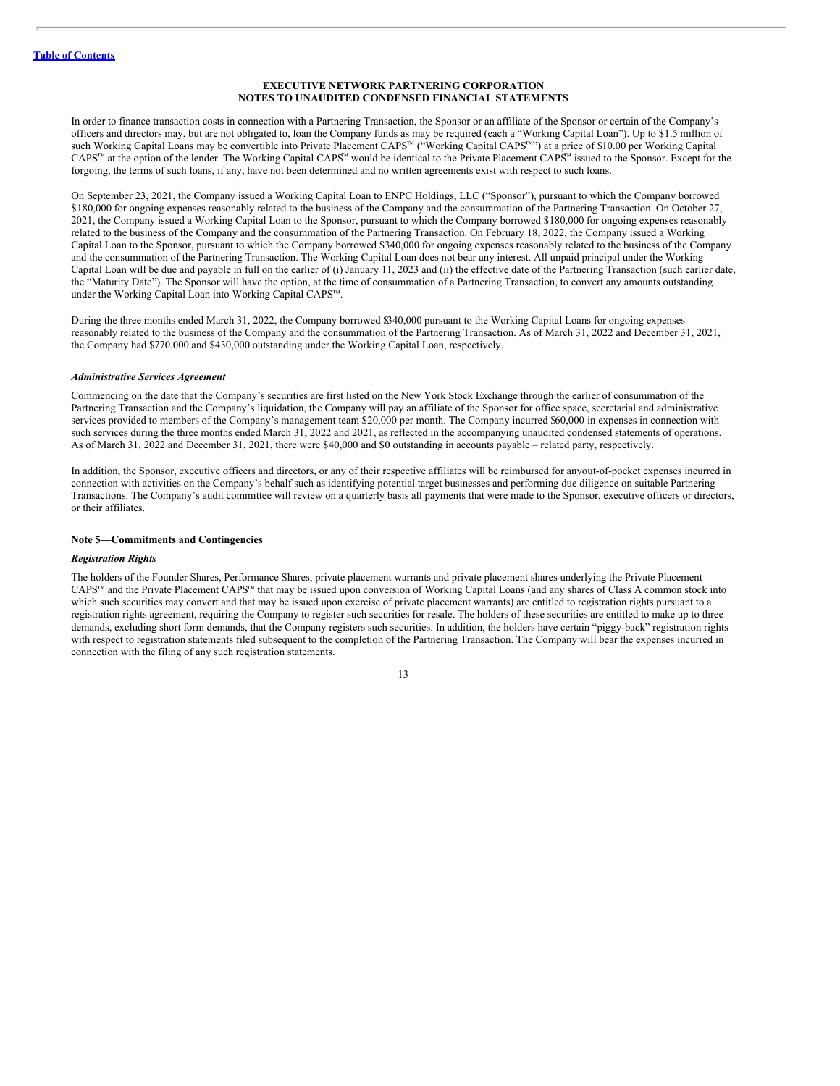In order to finance transaction costs in connection with a Partnering Transaction, the Sponsor or an affiliate of the Sponsor or certain of the Company's officers and directors may, but are not obligated to, loan the Company funds as may be required (each a "Working Capital Loan"). Up to \$1.5 million of such Working Capital Loans may be convertible into Private Placement CAPS™ ("Working Capital CAPS™") at a price of \$10.00 per Working Capital CAPS™ at the option of the lender. The Working Capital CAPS™ would be identical to the Private Placement CAPS™ issued to the Sponsor. Except for the forgoing, the terms of such loans, if any, have not been determined and no written agreements exist with respect to such loans.

On September 23, 2021, the Company issued a Working Capital Loan to ENPC Holdings, LLC ("Sponsor"), pursuant to which the Company borrowed \$180,000 for ongoing expenses reasonably related to the business of the Company and the consummation of the Partnering Transaction. On October 27, 2021, the Company issued a Working Capital Loan to the Sponsor, pursuant to which the Company borrowed \$180,000 for ongoing expenses reasonably related to the business of the Company and the consummation of the Partnering Transaction. On February 18, 2022, the Company issued a Working Capital Loan to the Sponsor, pursuant to which the Company borrowed \$340,000 for ongoing expenses reasonably related to the business of the Company and the consummation of the Partnering Transaction. The Working Capital Loan does not bear any interest. All unpaid principal under the Working Capital Loan will be due and payable in full on the earlier of (i) January 11, 2023 and (ii) the effective date of the Partnering Transaction (such earlier date, the "Maturity Date"). The Sponsor will have the option, at the time of consummation of a Partnering Transaction, to convert any amounts outstanding under the Working Capital Loan into Working Capital CAPS™.

During the three months ended March 31, 2022, the Company borrowed \$340,000 pursuant to the Working Capital Loans for ongoing expenses reasonably related to the business of the Company and the consummation of the Partnering Transaction. As of March 31, 2022 and December 31, 2021, the Company had \$770,000 and \$430,000 outstanding under the Working Capital Loan, respectively.

#### *Administrative Services Agreement*

Commencing on the date that the Company's securities are first listed on the New York Stock Exchange through the earlier of consummation of the Partnering Transaction and the Company's liquidation, the Company will pay an affiliate of the Sponsor for office space, secretarial and administrative services provided to members of the Company's management team \$20,000 per month. The Company incurred \$60,000 in expenses in connection with such services during the three months ended March 31, 2022 and 2021, as reflected in the accompanying unaudited condensed statements of operations. As of March 31, 2022 and December 31, 2021, there were \$40,000 and \$0 outstanding in accounts payable – related party, respectively.

In addition, the Sponsor, executive officers and directors, or any of their respective affiliates will be reimbursed for anyout-of-pocket expenses incurred in connection with activities on the Company's behalf such as identifying potential target businesses and performing due diligence on suitable Partnering Transactions. The Company's audit committee will review on a quarterly basis all payments that were made to the Sponsor, executive officers or directors, or their affiliates.

#### **Note 5—Commitments and Contingencies**

#### *Registration Rights*

The holders of the Founder Shares, Performance Shares, private placement warrants and private placement shares underlying the Private Placement CAPS™ and the Private Placement CAPS™ that may be issued upon conversion of Working Capital Loans (and any shares of Class A common stock into which such securities may convert and that may be issued upon exercise of private placement warrants) are entitled to registration rights pursuant to a registration rights agreement, requiring the Company to register such securities for resale. The holders of these securities are entitled to make up to three demands, excluding short form demands, that the Company registers such securities. In addition, the holders have certain "piggy-back" registration rights with respect to registration statements filed subsequent to the completion of the Partnering Transaction. The Company will bear the expenses incurred in connection with the filing of any such registration statements.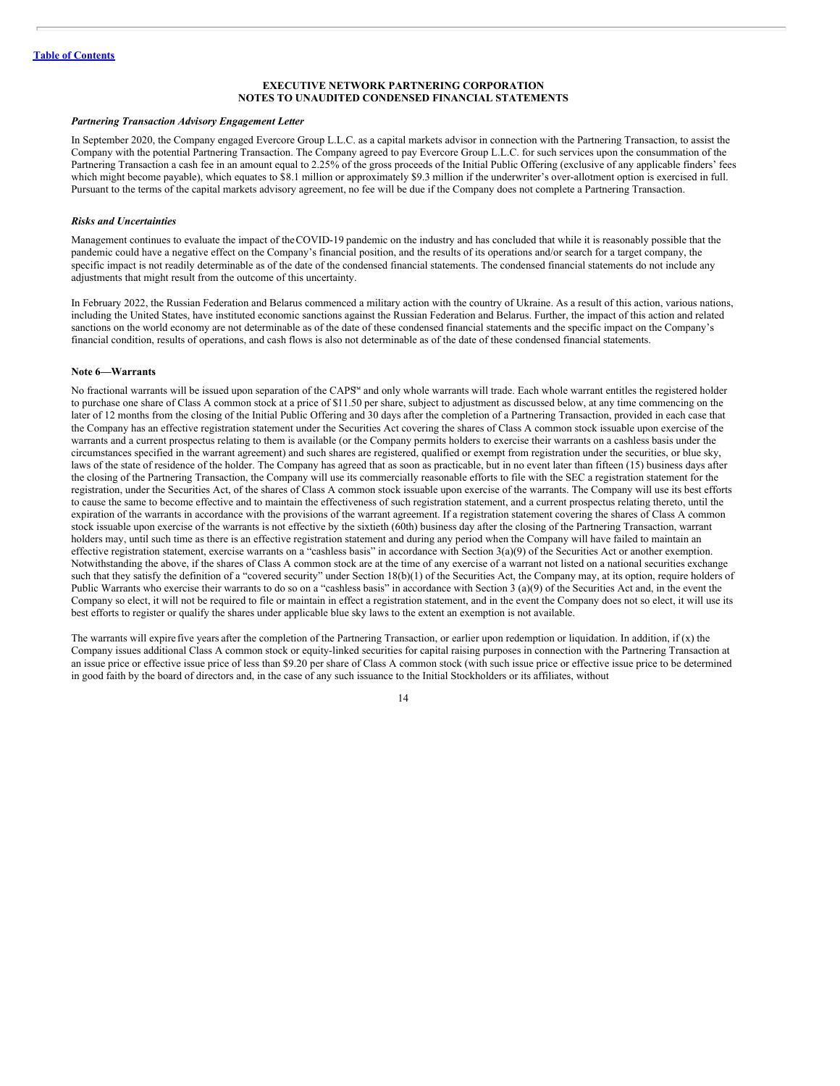#### *Partnering Transaction Advisory Engagement Letter*

In September 2020, the Company engaged Evercore Group L.L.C. as a capital markets advisor in connection with the Partnering Transaction, to assist the Company with the potential Partnering Transaction. The Company agreed to pay Evercore Group L.L.C. for such services upon the consummation of the Partnering Transaction a cash fee in an amount equal to 2.25% of the gross proceeds of the Initial Public Offering (exclusive of any applicable finders' fees which might become payable), which equates to \$8.1 million or approximately \$9.3 million if the underwriter's over-allotment option is exercised in full. Pursuant to the terms of the capital markets advisory agreement, no fee will be due if the Company does not complete a Partnering Transaction.

#### *Risks and Uncertainties*

Management continues to evaluate the impact of theCOVID-19 pandemic on the industry and has concluded that while it is reasonably possible that the pandemic could have a negative effect on the Company's financial position, and the results of its operations and/or search for a target company, the specific impact is not readily determinable as of the date of the condensed financial statements. The condensed financial statements do not include any adjustments that might result from the outcome of this uncertainty.

In February 2022, the Russian Federation and Belarus commenced a military action with the country of Ukraine. As a result of this action, various nations, including the United States, have instituted economic sanctions against the Russian Federation and Belarus. Further, the impact of this action and related sanctions on the world economy are not determinable as of the date of these condensed financial statements and the specific impact on the Company's financial condition, results of operations, and cash flows is also not determinable as of the date of these condensed financial statements.

#### **Note 6—Warrants**

No fractional warrants will be issued upon separation of the CAPS<sup>™</sup> and only whole warrants will trade. Each whole warrant entitles the registered holder to purchase one share of Class A common stock at a price of \$11.50 per share, subject to adjustment as discussed below, at any time commencing on the later of 12 months from the closing of the Initial Public Offering and 30 days after the completion of a Partnering Transaction, provided in each case that the Company has an effective registration statement under the Securities Act covering the shares of Class A common stock issuable upon exercise of the warrants and a current prospectus relating to them is available (or the Company permits holders to exercise their warrants on a cashless basis under the circumstances specified in the warrant agreement) and such shares are registered, qualified or exempt from registration under the securities, or blue sky, laws of the state of residence of the holder. The Company has agreed that as soon as practicable, but in no event later than fifteen (15) business days after the closing of the Partnering Transaction, the Company will use its commercially reasonable efforts to file with the SEC a registration statement for the registration, under the Securities Act, of the shares of Class A common stock issuable upon exercise of the warrants. The Company will use its best efforts to cause the same to become effective and to maintain the effectiveness of such registration statement, and a current prospectus relating thereto, until the expiration of the warrants in accordance with the provisions of the warrant agreement. If a registration statement covering the shares of Class A common stock issuable upon exercise of the warrants is not effective by the sixtieth (60th) business day after the closing of the Partnering Transaction, warrant holders may, until such time as there is an effective registration statement and during any period when the Company will have failed to maintain an effective registration statement, exercise warrants on a "cashless basis" in accordance with Section 3(a)(9) of the Securities Act or another exemption. Notwithstanding the above, if the shares of Class A common stock are at the time of any exercise of a warrant not listed on a national securities exchange such that they satisfy the definition of a "covered security" under Section 18(b)(1) of the Securities Act, the Company may, at its option, require holders of Public Warrants who exercise their warrants to do so on a "cashless basis" in accordance with Section 3 (a)(9) of the Securities Act and, in the event the Company so elect, it will not be required to file or maintain in effect a registration statement, and in the event the Company does not so elect, it will use its best efforts to register or qualify the shares under applicable blue sky laws to the extent an exemption is not available.

The warrants will expire five years after the completion of the Partnering Transaction, or earlier upon redemption or liquidation. In addition, if  $(x)$  the Company issues additional Class A common stock or equity-linked securities for capital raising purposes in connection with the Partnering Transaction at an issue price or effective issue price of less than \$9.20 per share of Class A common stock (with such issue price or effective issue price to be determined in good faith by the board of directors and, in the case of any such issuance to the Initial Stockholders or its affiliates, without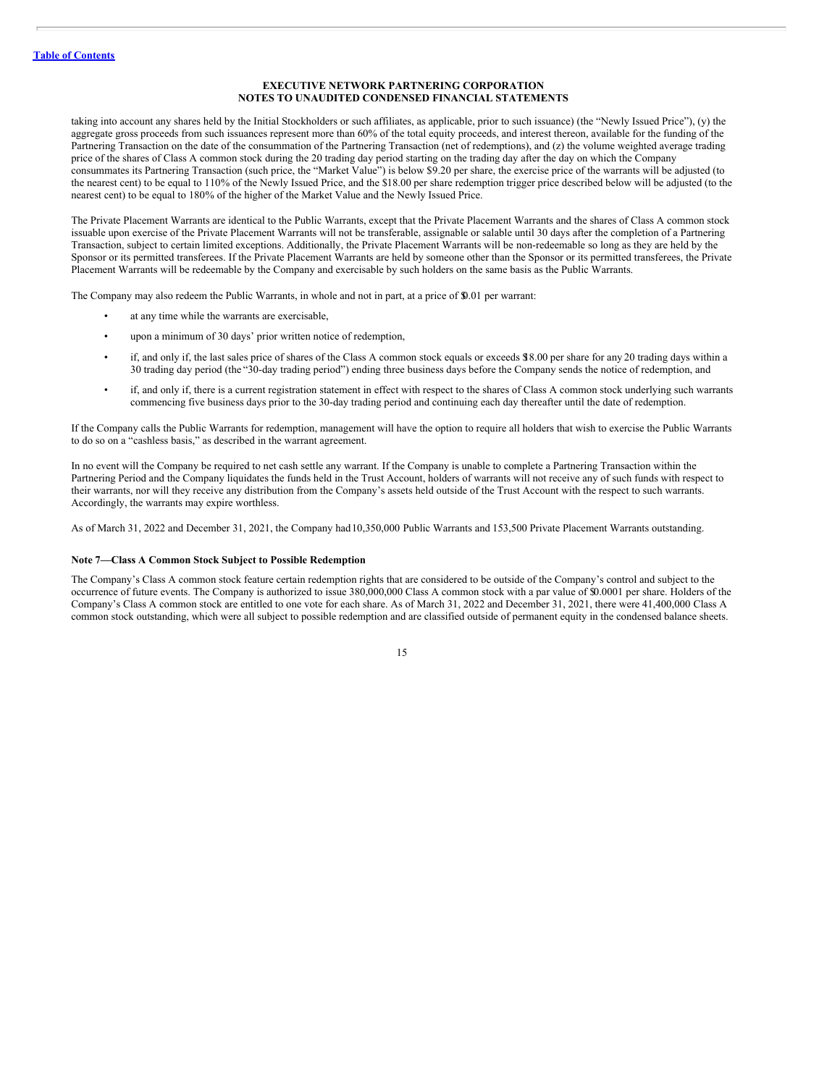taking into account any shares held by the Initial Stockholders or such affiliates, as applicable, prior to such issuance) (the "Newly Issued Price"), (y) the aggregate gross proceeds from such issuances represent more than 60% of the total equity proceeds, and interest thereon, available for the funding of the Partnering Transaction on the date of the consummation of the Partnering Transaction (net of redemptions), and (z) the volume weighted average trading price of the shares of Class A common stock during the 20 trading day period starting on the trading day after the day on which the Company consummates its Partnering Transaction (such price, the "Market Value") is below \$9.20 per share, the exercise price of the warrants will be adjusted (to the nearest cent) to be equal to 110% of the Newly Issued Price, and the \$18.00 per share redemption trigger price described below will be adjusted (to the nearest cent) to be equal to 180% of the higher of the Market Value and the Newly Issued Price.

The Private Placement Warrants are identical to the Public Warrants, except that the Private Placement Warrants and the shares of Class A common stock issuable upon exercise of the Private Placement Warrants will not be transferable, assignable or salable until 30 days after the completion of a Partnering Transaction, subject to certain limited exceptions. Additionally, the Private Placement Warrants will be non-redeemable so long as they are held by the Sponsor or its permitted transferees. If the Private Placement Warrants are held by someone other than the Sponsor or its permitted transferees, the Private Placement Warrants will be redeemable by the Company and exercisable by such holders on the same basis as the Public Warrants.

The Company may also redeem the Public Warrants, in whole and not in part, at a price of \$0.01 per warrant:

- at any time while the warrants are exercisable,
- upon a minimum of 30 days' prior written notice of redemption,
- if, and only if, the last sales price of shares of the Class A common stock equals or exceeds \$8.00 per share for any 20 trading days within a 30 trading day period (the "30-day trading period") ending three business days before the Company sends the notice of redemption, and
- if, and only if, there is a current registration statement in effect with respect to the shares of Class A common stock underlying such warrants commencing five business days prior to the 30-day trading period and continuing each day thereafter until the date of redemption.

If the Company calls the Public Warrants for redemption, management will have the option to require all holders that wish to exercise the Public Warrants to do so on a "cashless basis," as described in the warrant agreement.

In no event will the Company be required to net cash settle any warrant. If the Company is unable to complete a Partnering Transaction within the Partnering Period and the Company liquidates the funds held in the Trust Account, holders of warrants will not receive any of such funds with respect to their warrants, nor will they receive any distribution from the Company's assets held outside of the Trust Account with the respect to such warrants. Accordingly, the warrants may expire worthless.

As of March 31, 2022 and December 31, 2021, the Company had10,350,000 Public Warrants and 153,500 Private Placement Warrants outstanding.

#### **Note 7—Class A Common Stock Subject to Possible Redemption**

The Company's Class A common stock feature certain redemption rights that are considered to be outside of the Company's control and subject to the occurrence of future events. The Company is authorized to issue 380,000,000 Class A common stock with a par value of \$0.0001 per share. Holders of the Company's Class A common stock are entitled to one vote for each share. As of March 31, 2022 and December 31, 2021, there were 41,400,000 Class A common stock outstanding, which were all subject to possible redemption and are classified outside of permanent equity in the condensed balance sheets.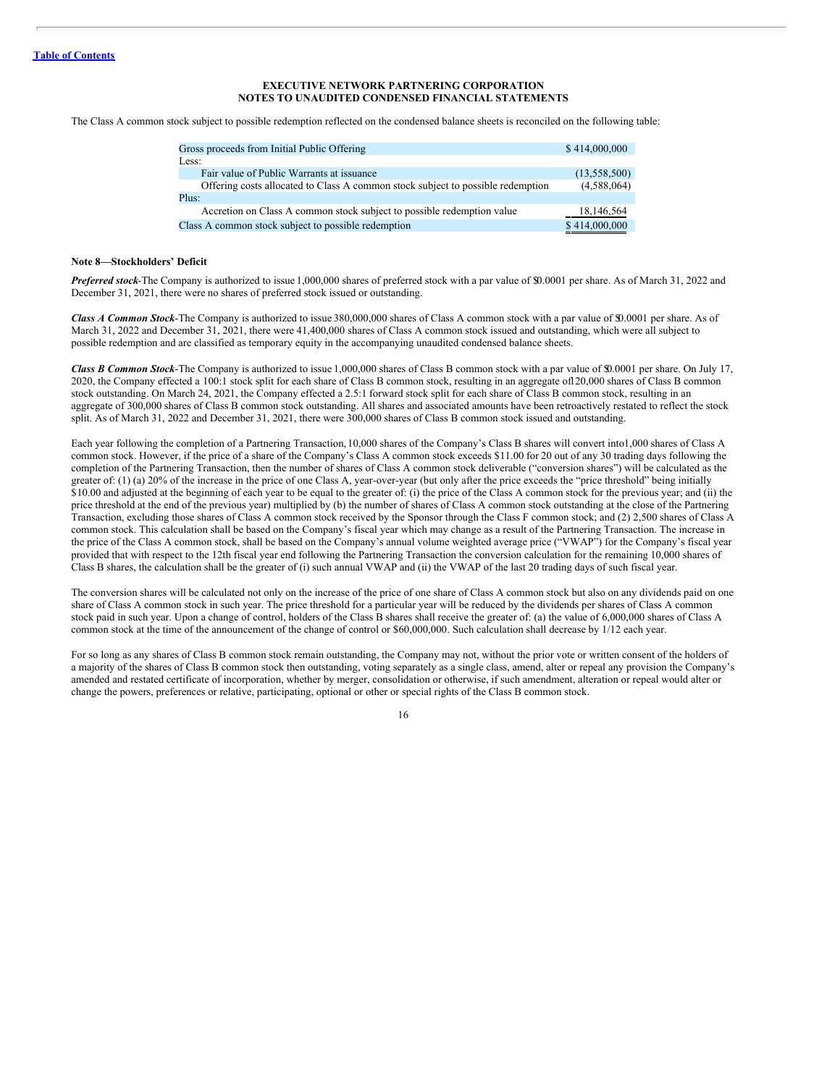The Class A common stock subject to possible redemption reflected on the condensed balance sheets is reconciled on the following table:

| Gross proceeds from Initial Public Offering                                     | \$414,000,000 |
|---------------------------------------------------------------------------------|---------------|
| Less:                                                                           |               |
| Fair value of Public Warrants at issuance                                       | (13,558,500)  |
| Offering costs allocated to Class A common stock subject to possible redemption | (4,588,064)   |
| Plus:                                                                           |               |
| Accretion on Class A common stock subject to possible redemption value          | 18,146,564    |
| Class A common stock subject to possible redemption                             | \$414,000,000 |
|                                                                                 |               |

#### **Note 8—Stockholders' Deficit**

*Preferred stock*-The Company is authorized to issue 1,000,000 shares of preferred stock with a par value of \$0.0001 per share. As of March 31, 2022 and December 31, 2021, there were no shares of preferred stock issued or outstanding.

*Class A Common Stock*-The Company is authorized to issue 380,000,000 shares of Class A common stock with a par value of \$0.0001 per share. As of March 31, 2022 and December 31, 2021, there were 41,400,000 shares of Class A common stock issued and outstanding, which were all subject to possible redemption and are classified as temporary equity in the accompanying unaudited condensed balance sheets.

*Class B Common Stock*-The Company is authorized to issue 1,000,000 shares of Class B common stock with a par value of \$0.0001 per share. On July 17, 2020, the Company effected a 100:1 stock split for each share of Class B common stock, resulting in an aggregate of120,000 shares of Class B common stock outstanding. On March 24, 2021, the Company effected a 2.5:1 forward stock split for each share of Class B common stock, resulting in an aggregate of 300,000 shares of Class B common stock outstanding. All shares and associated amounts have been retroactively restated to reflect the stock split. As of March 31, 2022 and December 31, 2021, there were 300,000 shares of Class B common stock issued and outstanding.

Each year following the completion of a Partnering Transaction,10,000 shares of the Company's Class B shares will convert into1,000 shares of Class A common stock. However, if the price of a share of the Company's Class A common stock exceeds \$11.00 for 20 out of any 30 trading days following the completion of the Partnering Transaction, then the number of shares of Class A common stock deliverable ("conversion shares") will be calculated as the greater of: (1) (a) 20% of the increase in the price of one Class A, year-over-year (but only after the price exceeds the "price threshold" being initially \$10.00 and adjusted at the beginning of each year to be equal to the greater of: (i) the price of the Class A common stock for the previous year; and (ii) the price threshold at the end of the previous year) multiplied by (b) the number of shares of Class A common stock outstanding at the close of the Partnering Transaction, excluding those shares of Class A common stock received by the Sponsor through the Class F common stock; and (2) 2,500 shares of Class A common stock. This calculation shall be based on the Company's fiscal year which may change as a result of the Partnering Transaction. The increase in the price of the Class A common stock, shall be based on the Company's annual volume weighted average price ("VWAP") for the Company's fiscal year provided that with respect to the 12th fiscal year end following the Partnering Transaction the conversion calculation for the remaining 10,000 shares of Class B shares, the calculation shall be the greater of (i) such annual VWAP and (ii) the VWAP of the last 20 trading days of such fiscal year.

The conversion shares will be calculated not only on the increase of the price of one share of Class A common stock but also on any dividends paid on one share of Class A common stock in such year. The price threshold for a particular year will be reduced by the dividends per shares of Class A common stock paid in such year. Upon a change of control, holders of the Class B shares shall receive the greater of: (a) the value of 6,000,000 shares of Class A common stock at the time of the announcement of the change of control or \$60,000,000. Such calculation shall decrease by 1/12 each year.

For so long as any shares of Class B common stock remain outstanding, the Company may not, without the prior vote or written consent of the holders of a majority of the shares of Class B common stock then outstanding, voting separately as a single class, amend, alter or repeal any provision the Company's amended and restated certificate of incorporation, whether by merger, consolidation or otherwise, if such amendment, alteration or repeal would alter or change the powers, preferences or relative, participating, optional or other or special rights of the Class B common stock.

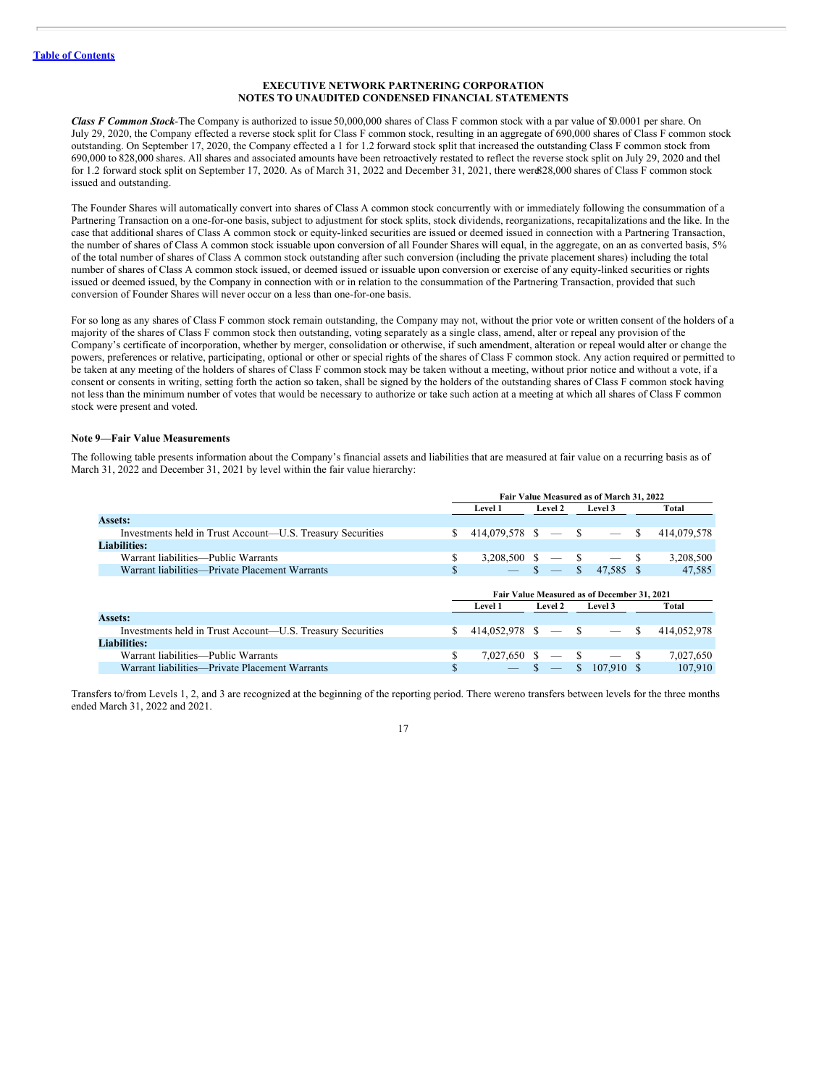*Class F Common Stock*-The Company is authorized to issue 50,000,000 shares of Class F common stock with a par value of \$0.0001 per share. On July 29, 2020, the Company effected a reverse stock split for Class F common stock, resulting in an aggregate of 690,000 shares of Class F common stock outstanding. On September 17, 2020, the Company effected a 1 for 1.2 forward stock split that increased the outstanding Class F common stock from 690,000 to 828,000 shares. All shares and associated amounts have been retroactively restated to reflect the reverse stock split on July 29, 2020 and the1 for 1.2 forward stock split on September 17, 2020. As of March 31, 2022 and December 31, 2021, there were828,000 shares of Class F common stock issued and outstanding.

The Founder Shares will automatically convert into shares of Class A common stock concurrently with or immediately following the consummation of a Partnering Transaction on a one-for-one basis, subject to adjustment for stock splits, stock dividends, reorganizations, recapitalizations and the like. In the case that additional shares of Class A common stock or equity-linked securities are issued or deemed issued in connection with a Partnering Transaction, the number of shares of Class A common stock issuable upon conversion of all Founder Shares will equal, in the aggregate, on an as converted basis, 5% of the total number of shares of Class A common stock outstanding after such conversion (including the private placement shares) including the total number of shares of Class A common stock issued, or deemed issued or issuable upon conversion or exercise of any equity-linked securities or rights issued or deemed issued, by the Company in connection with or in relation to the consummation of the Partnering Transaction, provided that such conversion of Founder Shares will never occur on a less than one-for-one basis.

For so long as any shares of Class F common stock remain outstanding, the Company may not, without the prior vote or written consent of the holders of a majority of the shares of Class F common stock then outstanding, voting separately as a single class, amend, alter or repeal any provision of the Company's certificate of incorporation, whether by merger, consolidation or otherwise, if such amendment, alteration or repeal would alter or change the powers, preferences or relative, participating, optional or other or special rights of the shares of Class F common stock. Any action required or permitted to be taken at any meeting of the holders of shares of Class F common stock may be taken without a meeting, without prior notice and without a vote, if a consent or consents in writing, setting forth the action so taken, shall be signed by the holders of the outstanding shares of Class F common stock having not less than the minimum number of votes that would be necessary to authorize or take such action at a meeting at which all shares of Class F common stock were present and voted.

#### **Note 9—Fair Value Measurements**

The following table presents information about the Company's financial assets and liabilities that are measured at fair value on a recurring basis as of March 31, 2022 and December 31, 2021 by level within the fair value hierarchy:

|                                                            |    |                                               |                | Fair Value Measured as of March 31, 2022    |             |
|------------------------------------------------------------|----|-----------------------------------------------|----------------|---------------------------------------------|-------------|
|                                                            |    | <b>Level 1</b>                                | <b>Level 2</b> | Level 3                                     | Total       |
| <b>Assets:</b>                                             |    |                                               |                |                                             |             |
| Investments held in Trust Account—U.S. Treasury Securities | S  | $414,079,578$ \$ $-$ \$                       |                | $-$ \$                                      | 414,079,578 |
| Liabilities:                                               |    |                                               |                |                                             |             |
| Warrant liabilities—Public Warrants                        | S  | $3,208,500 \quad $ - \quad $ \quad - \quad $$ |                |                                             | 3,208,500   |
| Warrant liabilities—Private Placement Warrants             | S  |                                               | $ s - s$       | 47.585 \$                                   | 47.585      |
|                                                            |    |                                               |                |                                             |             |
|                                                            |    |                                               |                | Fair Value Measured as of December 31, 2021 |             |
|                                                            |    |                                               |                |                                             |             |
|                                                            |    | <b>Level 1</b>                                | <b>Level 2</b> | Level 3                                     | Total       |
| Assets:                                                    |    |                                               |                |                                             |             |
| Investments held in Trust Account—U.S. Treasury Securities | \$ | 414,052,978 \$                                | $-$ \$         | $-$ s                                       | 414,052,978 |
| Liabilities:                                               |    |                                               |                |                                             |             |
| Warrant liabilities—Public Warrants                        | S  | $7,027,650 \text{ }$ \$ $-$ \$                |                | $-$ s                                       | 7,027,650   |

Transfers to/from Levels 1, 2, and 3 are recognized at the beginning of the reporting period. There wereno transfers between levels for the three months ended March 31, 2022 and 2021.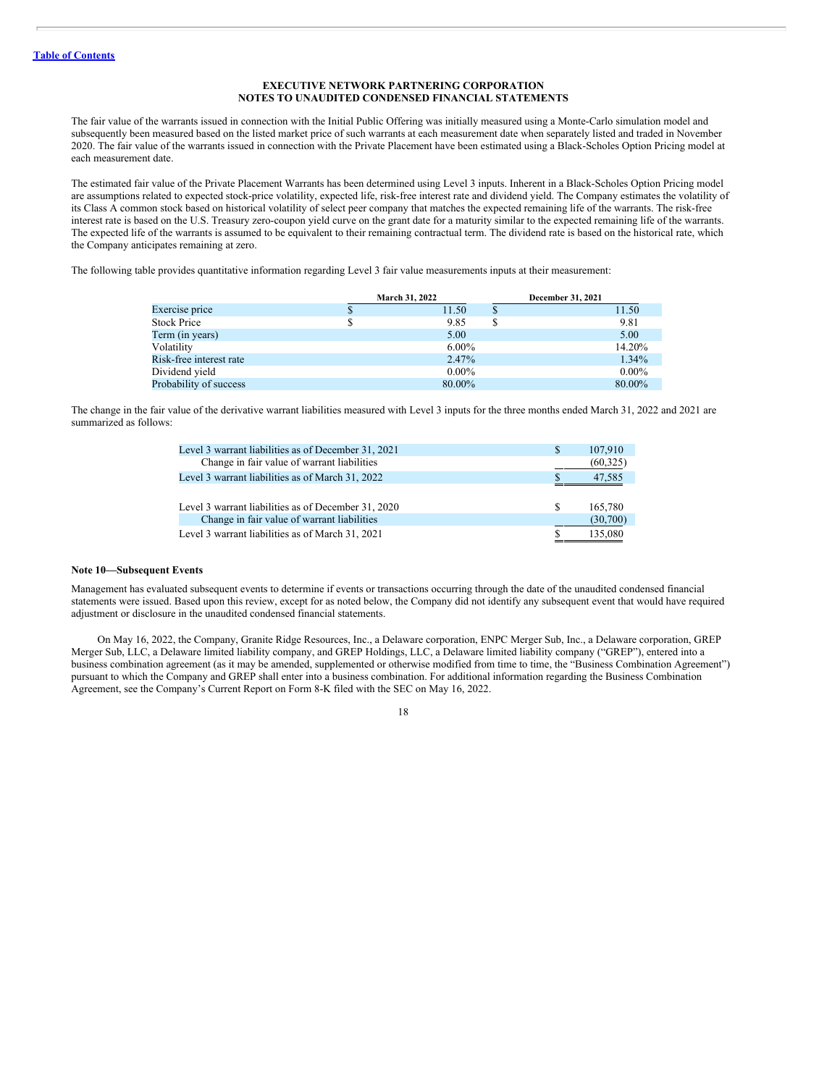The fair value of the warrants issued in connection with the Initial Public Offering was initially measured using a Monte-Carlo simulation model and subsequently been measured based on the listed market price of such warrants at each measurement date when separately listed and traded in November 2020. The fair value of the warrants issued in connection with the Private Placement have been estimated using a Black-Scholes Option Pricing model at each measurement date.

The estimated fair value of the Private Placement Warrants has been determined using Level 3 inputs. Inherent in a Black-Scholes Option Pricing model are assumptions related to expected stock-price volatility, expected life, risk-free interest rate and dividend yield. The Company estimates the volatility of its Class A common stock based on historical volatility of select peer company that matches the expected remaining life of the warrants. The risk-free interest rate is based on the U.S. Treasury zero-coupon yield curve on the grant date for a maturity similar to the expected remaining life of the warrants. The expected life of the warrants is assumed to be equivalent to their remaining contractual term. The dividend rate is based on the historical rate, which the Company anticipates remaining at zero.

The following table provides quantitative information regarding Level 3 fair value measurements inputs at their measurement:

|                         | March 31, 2022 | December 31, 2021 |          |
|-------------------------|----------------|-------------------|----------|
| Exercise price          | 11.50<br>\$    |                   | 11.50    |
| <b>Stock Price</b>      | 9.85           |                   | 9.81     |
| Term (in years)         | 5.00           |                   | 5.00     |
| Volatility              | $6.00\%$       |                   | 14.20%   |
| Risk-free interest rate | 2.47%          |                   | 1.34%    |
| Dividend yield          | $0.00\%$       |                   | $0.00\%$ |
| Probability of success  | 80.00%         |                   | 80.00%   |

The change in the fair value of the derivative warrant liabilities measured with Level 3 inputs for the three months ended March 31, 2022 and 2021 are summarized as follows:

| Level 3 warrant liabilities as of December 31, 2021 | S  | 107,910   |
|-----------------------------------------------------|----|-----------|
| Change in fair value of warrant liabilities         |    | (60, 325) |
| Level 3 warrant liabilities as of March 31, 2022    |    | 47,585    |
|                                                     |    |           |
| Level 3 warrant liabilities as of December 31, 2020 | -S | 165,780   |
| Change in fair value of warrant liabilities         |    | (30,700)  |
| Level 3 warrant liabilities as of March 31, 2021    |    | 135,080   |
|                                                     |    |           |

#### **Note 10—Subsequent Events**

Management has evaluated subsequent events to determine if events or transactions occurring through the date of the unaudited condensed financial statements were issued. Based upon this review, except for as noted below, the Company did not identify any subsequent event that would have required adjustment or disclosure in the unaudited condensed financial statements.

On May 16, 2022, the Company, Granite Ridge Resources, Inc., a Delaware corporation, ENPC Merger Sub, Inc., a Delaware corporation, GREP Merger Sub, LLC, a Delaware limited liability company, and GREP Holdings, LLC, a Delaware limited liability company ("GREP"), entered into a business combination agreement (as it may be amended, supplemented or otherwise modified from time to time, the "Business Combination Agreement") pursuant to which the Company and GREP shall enter into a business combination. For additional information regarding the Business Combination Agreement, see the Company's Current Report on Form 8-K filed with the SEC on May 16, 2022.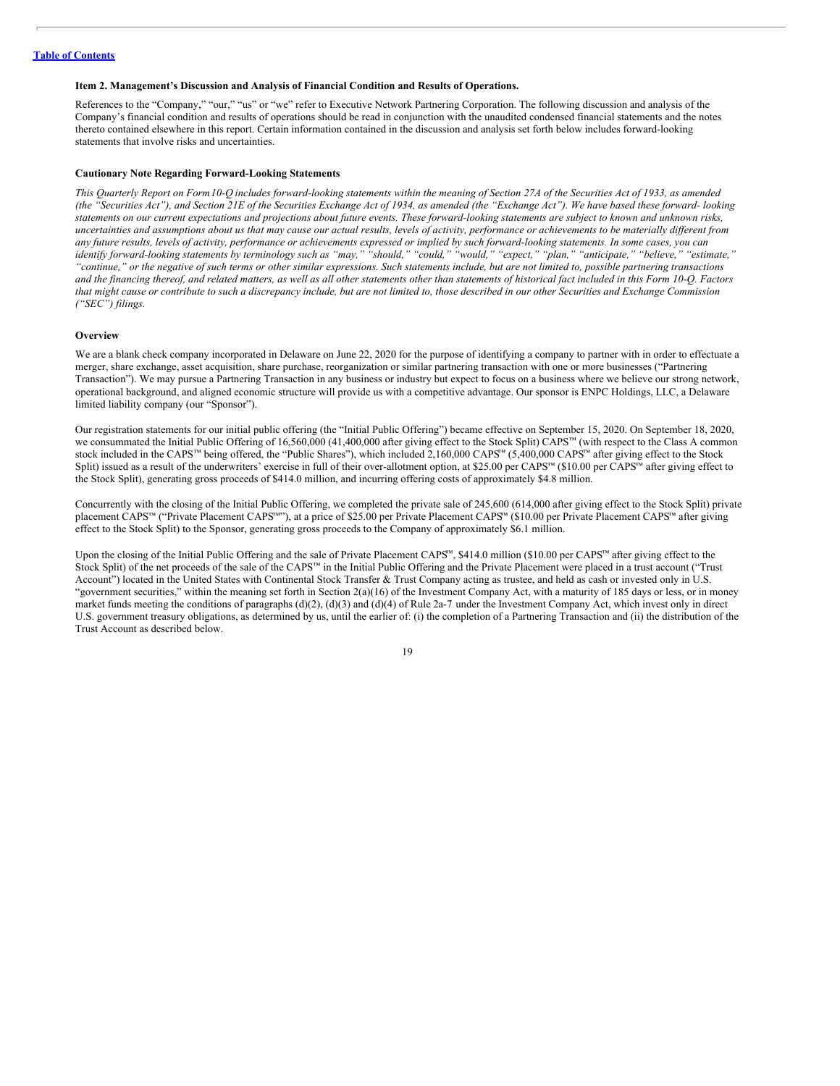#### <span id="page-21-0"></span>**Item 2. Management's Discussion and Analysis of Financial Condition and Results of Operations.**

References to the "Company," "our," "us" or "we" refer to Executive Network Partnering Corporation. The following discussion and analysis of the Company's financial condition and results of operations should be read in conjunction with the unaudited condensed financial statements and the notes thereto contained elsewhere in this report. Certain information contained in the discussion and analysis set forth below includes forward-looking statements that involve risks and uncertainties.

#### **Cautionary Note Regarding Forward-Looking Statements**

This Ouarterly Report on Form 10-O includes forward-looking statements within the meaning of Section 27A of the Securities Act of 1933, as amended (the "Securities Act"), and Section 21E of the Securities Exchange Act of 1934, as amended (the "Exchange Act"). We have based these forward-looking statements on our current expectations and projections about future events. These forward-looking statements are subject to known and unknown risks, uncertainties and assumptions about us that may cause our actual results, levels of activity, performance or achievements to be materially different from any future results, levels of activity, performance or achievements expressed or implied by such forward-looking statements. In some cases, you can identify forward-looking statements by terminology such as "may," "should," "could," "would," "expect," "plan," "anticipate," "believe," "estimate," "continue," or the negative of such terms or other similar expressions. Such statements include, but are not limited to, possible partnering transactions and the financing thereof, and related matters, as well as all other statements other than statements of historical fact included in this Form 10-O. Factors that might cause or contribute to such a discrepancy include, but are not limited to, those described in our other Securities and Exchange Commission *("SEC") filings.*

#### **Overview**

We are a blank check company incorporated in Delaware on June 22, 2020 for the purpose of identifying a company to partner with in order to effectuate a merger, share exchange, asset acquisition, share purchase, reorganization or similar partnering transaction with one or more businesses ("Partnering Transaction"). We may pursue a Partnering Transaction in any business or industry but expect to focus on a business where we believe our strong network, operational background, and aligned economic structure will provide us with a competitive advantage. Our sponsor is ENPC Holdings, LLC, a Delaware limited liability company (our "Sponsor").

Our registration statements for our initial public offering (the "Initial Public Offering") became effective on September 15, 2020. On September 18, 2020, we consummated the Initial Public Offering of 16,560,000 (41,400,000 after giving effect to the Stock Split) CAPS™ (with respect to the Class A common stock included in the CAPS™ being offered, the "Public Shares"), which included  $2,160,000$  CAPS™ (5,400,000 CAPS™ after giving effect to the Stock Split) issued as a result of the underwriters' exercise in full of their over-allotment option, at \$25.00 per CAPS™ (\$10.00 per CAPS™ after giving effect to the Stock Split), generating gross proceeds of \$414.0 million, and incurring offering costs of approximately \$4.8 million.

Concurrently with the closing of the Initial Public Offering, we completed the private sale of 245,600 (614,000 after giving effect to the Stock Split) private placement CAPS™ ("Private Placement CAPS™"), at a price of \$25.00 per Private Placement CAPS™ (\$10.00 per Private Placement CAPS™ after giving effect to the Stock Split) to the Sponsor, generating gross proceeds to the Company of approximately \$6.1 million.

Upon the closing of the Initial Public Offering and the sale of Private Placement CAPS™, \$414.0 million (\$10.00 per CAPS™ after giving effect to the Stock Split) of the net proceeds of the sale of the CAPS™ in the Initial Public Offering and the Private Placement were placed in a trust account ("Trust Account") located in the United States with Continental Stock Transfer & Trust Company acting as trustee, and held as cash or invested only in U.S. "government securities," within the meaning set forth in Section 2(a)(16) of the Investment Company Act, with a maturity of 185 days or less, or in money market funds meeting the conditions of paragraphs (d)(2), (d)(3) and (d)(4) of Rule 2a-7 under the Investment Company Act, which invest only in direct U.S. government treasury obligations, as determined by us, until the earlier of: (i) the completion of a Partnering Transaction and (ii) the distribution of the Trust Account as described below.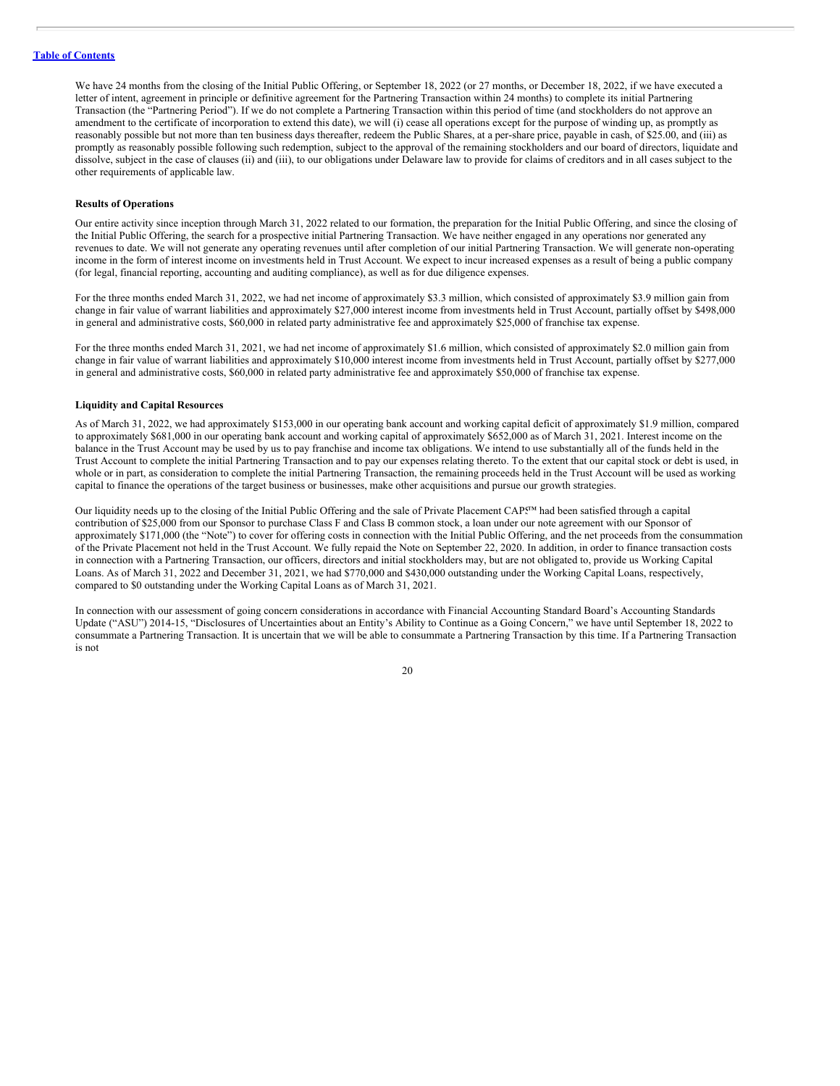We have 24 months from the closing of the Initial Public Offering, or September 18, 2022 (or 27 months, or December 18, 2022, if we have executed a letter of intent, agreement in principle or definitive agreement for the Partnering Transaction within 24 months) to complete its initial Partnering Transaction (the "Partnering Period"). If we do not complete a Partnering Transaction within this period of time (and stockholders do not approve an amendment to the certificate of incorporation to extend this date), we will (i) cease all operations except for the purpose of winding up, as promptly as reasonably possible but not more than ten business days thereafter, redeem the Public Shares, at a per-share price, payable in cash, of \$25.00, and (iii) as promptly as reasonably possible following such redemption, subject to the approval of the remaining stockholders and our board of directors, liquidate and dissolve, subject in the case of clauses (ii) and (iii), to our obligations under Delaware law to provide for claims of creditors and in all cases subject to the other requirements of applicable law.

#### **Results of Operations**

Our entire activity since inception through March 31, 2022 related to our formation, the preparation for the Initial Public Offering, and since the closing of the Initial Public Offering, the search for a prospective initial Partnering Transaction. We have neither engaged in any operations nor generated any revenues to date. We will not generate any operating revenues until after completion of our initial Partnering Transaction. We will generate non-operating income in the form of interest income on investments held in Trust Account. We expect to incur increased expenses as a result of being a public company (for legal, financial reporting, accounting and auditing compliance), as well as for due diligence expenses.

For the three months ended March 31, 2022, we had net income of approximately \$3.3 million, which consisted of approximately \$3.9 million gain from change in fair value of warrant liabilities and approximately \$27,000 interest income from investments held in Trust Account, partially offset by \$498,000 in general and administrative costs, \$60,000 in related party administrative fee and approximately \$25,000 of franchise tax expense.

For the three months ended March 31, 2021, we had net income of approximately \$1.6 million, which consisted of approximately \$2.0 million gain from change in fair value of warrant liabilities and approximately \$10,000 interest income from investments held in Trust Account, partially offset by \$277,000 in general and administrative costs, \$60,000 in related party administrative fee and approximately \$50,000 of franchise tax expense.

#### **Liquidity and Capital Resources**

As of March 31, 2022, we had approximately \$153,000 in our operating bank account and working capital deficit of approximately \$1.9 million, compared to approximately \$681,000 in our operating bank account and working capital of approximately \$652,000 as of March 31, 2021. Interest income on the balance in the Trust Account may be used by us to pay franchise and income tax obligations. We intend to use substantially all of the funds held in the Trust Account to complete the initial Partnering Transaction and to pay our expenses relating thereto. To the extent that our capital stock or debt is used, in whole or in part, as consideration to complete the initial Partnering Transaction, the remaining proceeds held in the Trust Account will be used as working capital to finance the operations of the target business or businesses, make other acquisitions and pursue our growth strategies.

Our liquidity needs up to the closing of the Initial Public Offering and the sale of Private Placement CAPS™ had been satisfied through a capital contribution of \$25,000 from our Sponsor to purchase Class F and Class B common stock, a loan under our note agreement with our Sponsor of approximately \$171,000 (the "Note") to cover for offering costs in connection with the Initial Public Offering, and the net proceeds from the consummation of the Private Placement not held in the Trust Account. We fully repaid the Note on September 22, 2020. In addition, in order to finance transaction costs in connection with a Partnering Transaction, our officers, directors and initial stockholders may, but are not obligated to, provide us Working Capital Loans. As of March 31, 2022 and December 31, 2021, we had \$770,000 and \$430,000 outstanding under the Working Capital Loans, respectively, compared to \$0 outstanding under the Working Capital Loans as of March 31, 2021.

In connection with our assessment of going concern considerations in accordance with Financial Accounting Standard Board's Accounting Standards Update ("ASU") 2014-15, "Disclosures of Uncertainties about an Entity's Ability to Continue as a Going Concern," we have until September 18, 2022 to consummate a Partnering Transaction. It is uncertain that we will be able to consummate a Partnering Transaction by this time. If a Partnering Transaction is not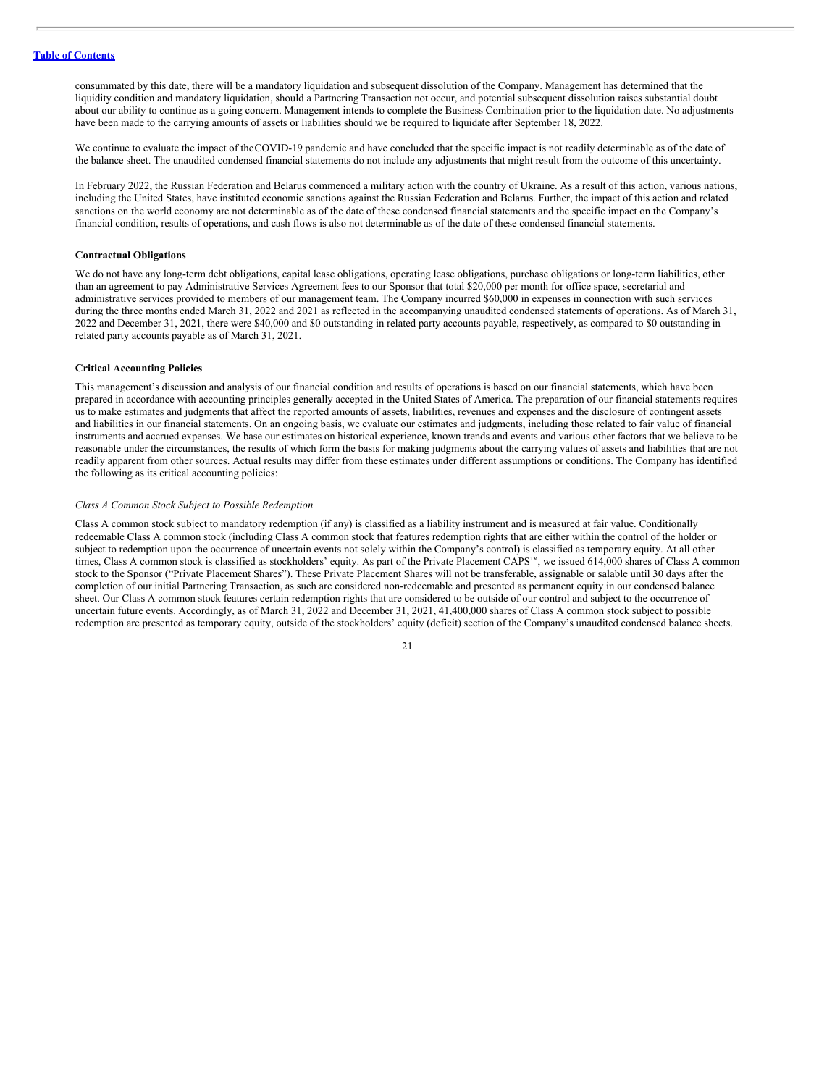consummated by this date, there will be a mandatory liquidation and subsequent dissolution of the Company. Management has determined that the liquidity condition and mandatory liquidation, should a Partnering Transaction not occur, and potential subsequent dissolution raises substantial doubt about our ability to continue as a going concern. Management intends to complete the Business Combination prior to the liquidation date. No adjustments have been made to the carrying amounts of assets or liabilities should we be required to liquidate after September 18, 2022.

We continue to evaluate the impact of theCOVID-19 pandemic and have concluded that the specific impact is not readily determinable as of the date of the balance sheet. The unaudited condensed financial statements do not include any adjustments that might result from the outcome of this uncertainty.

In February 2022, the Russian Federation and Belarus commenced a military action with the country of Ukraine. As a result of this action, various nations, including the United States, have instituted economic sanctions against the Russian Federation and Belarus. Further, the impact of this action and related sanctions on the world economy are not determinable as of the date of these condensed financial statements and the specific impact on the Company's financial condition, results of operations, and cash flows is also not determinable as of the date of these condensed financial statements.

#### **Contractual Obligations**

We do not have any long-term debt obligations, capital lease obligations, operating lease obligations, purchase obligations or long-term liabilities, other than an agreement to pay Administrative Services Agreement fees to our Sponsor that total \$20,000 per month for office space, secretarial and administrative services provided to members of our management team. The Company incurred \$60,000 in expenses in connection with such services during the three months ended March 31, 2022 and 2021 as reflected in the accompanying unaudited condensed statements of operations. As of March 31, 2022 and December 31, 2021, there were \$40,000 and \$0 outstanding in related party accounts payable, respectively, as compared to \$0 outstanding in related party accounts payable as of March 31, 2021.

#### **Critical Accounting Policies**

This management's discussion and analysis of our financial condition and results of operations is based on our financial statements, which have been prepared in accordance with accounting principles generally accepted in the United States of America. The preparation of our financial statements requires us to make estimates and judgments that affect the reported amounts of assets, liabilities, revenues and expenses and the disclosure of contingent assets and liabilities in our financial statements. On an ongoing basis, we evaluate our estimates and judgments, including those related to fair value of financial instruments and accrued expenses. We base our estimates on historical experience, known trends and events and various other factors that we believe to be reasonable under the circumstances, the results of which form the basis for making judgments about the carrying values of assets and liabilities that are not readily apparent from other sources. Actual results may differ from these estimates under different assumptions or conditions. The Company has identified the following as its critical accounting policies:

#### *Class A Common Stock Subject to Possible Redemption*

Class A common stock subject to mandatory redemption (if any) is classified as a liability instrument and is measured at fair value. Conditionally redeemable Class A common stock (including Class A common stock that features redemption rights that are either within the control of the holder or subject to redemption upon the occurrence of uncertain events not solely within the Company's control) is classified as temporary equity. At all other times, Class A common stock is classified as stockholders' equity. As part of the Private Placement CAPS™, we issued 614,000 shares of Class A common stock to the Sponsor ("Private Placement Shares"). These Private Placement Shares will not be transferable, assignable or salable until 30 days after the completion of our initial Partnering Transaction, as such are considered non-redeemable and presented as permanent equity in our condensed balance sheet. Our Class A common stock features certain redemption rights that are considered to be outside of our control and subject to the occurrence of uncertain future events. Accordingly, as of March 31, 2022 and December 31, 2021, 41,400,000 shares of Class A common stock subject to possible redemption are presented as temporary equity, outside of the stockholders' equity (deficit) section of the Company's unaudited condensed balance sheets.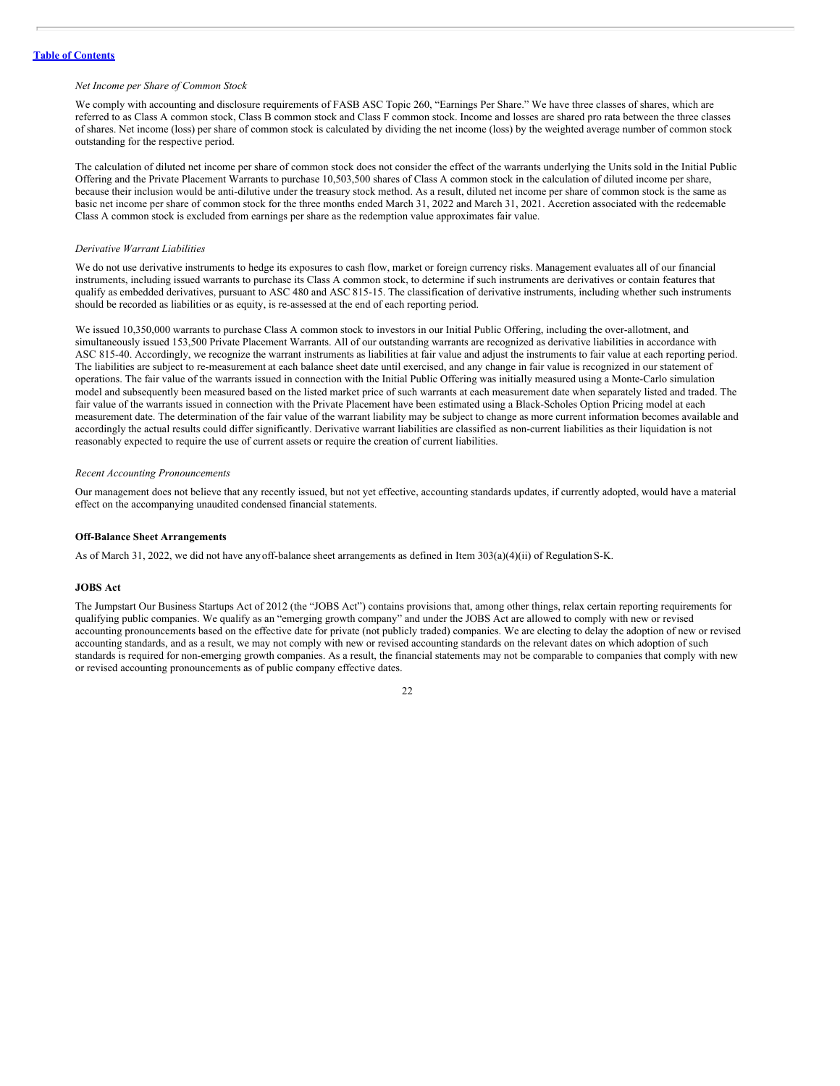#### *Net Income per Share of Common Stock*

We comply with accounting and disclosure requirements of FASB ASC Topic 260, "Earnings Per Share." We have three classes of shares, which are referred to as Class A common stock, Class B common stock and Class F common stock. Income and losses are shared pro rata between the three classes of shares. Net income (loss) per share of common stock is calculated by dividing the net income (loss) by the weighted average number of common stock outstanding for the respective period.

The calculation of diluted net income per share of common stock does not consider the effect of the warrants underlying the Units sold in the Initial Public Offering and the Private Placement Warrants to purchase 10,503,500 shares of Class A common stock in the calculation of diluted income per share, because their inclusion would be anti-dilutive under the treasury stock method. As a result, diluted net income per share of common stock is the same as basic net income per share of common stock for the three months ended March 31, 2022 and March 31, 2021. Accretion associated with the redeemable Class A common stock is excluded from earnings per share as the redemption value approximates fair value.

#### *Derivative Warrant Liabilities*

We do not use derivative instruments to hedge its exposures to cash flow, market or foreign currency risks. Management evaluates all of our financial instruments, including issued warrants to purchase its Class A common stock, to determine if such instruments are derivatives or contain features that qualify as embedded derivatives, pursuant to ASC 480 and ASC 815-15. The classification of derivative instruments, including whether such instruments should be recorded as liabilities or as equity, is re-assessed at the end of each reporting period.

We issued 10,350,000 warrants to purchase Class A common stock to investors in our Initial Public Offering, including the over-allotment, and simultaneously issued 153,500 Private Placement Warrants. All of our outstanding warrants are recognized as derivative liabilities in accordance with ASC 815-40. Accordingly, we recognize the warrant instruments as liabilities at fair value and adjust the instruments to fair value at each reporting period. The liabilities are subject to re-measurement at each balance sheet date until exercised, and any change in fair value is recognized in our statement of operations. The fair value of the warrants issued in connection with the Initial Public Offering was initially measured using a Monte-Carlo simulation model and subsequently been measured based on the listed market price of such warrants at each measurement date when separately listed and traded. The fair value of the warrants issued in connection with the Private Placement have been estimated using a Black-Scholes Option Pricing model at each measurement date. The determination of the fair value of the warrant liability may be subject to change as more current information becomes available and accordingly the actual results could differ significantly. Derivative warrant liabilities are classified as non-current liabilities as their liquidation is not reasonably expected to require the use of current assets or require the creation of current liabilities.

#### *Recent Accounting Pronouncements*

Our management does not believe that any recently issued, but not yet effective, accounting standards updates, if currently adopted, would have a material effect on the accompanying unaudited condensed financial statements.

#### **Off-Balance Sheet Arrangements**

As of March 31, 2022, we did not have anyoff-balance sheet arrangements as defined in Item 303(a)(4)(ii) of RegulationS-K.

#### **JOBS Act**

The Jumpstart Our Business Startups Act of 2012 (the "JOBS Act") contains provisions that, among other things, relax certain reporting requirements for qualifying public companies. We qualify as an "emerging growth company" and under the JOBS Act are allowed to comply with new or revised accounting pronouncements based on the effective date for private (not publicly traded) companies. We are electing to delay the adoption of new or revised accounting standards, and as a result, we may not comply with new or revised accounting standards on the relevant dates on which adoption of such standards is required for non-emerging growth companies. As a result, the financial statements may not be comparable to companies that comply with new or revised accounting pronouncements as of public company effective dates.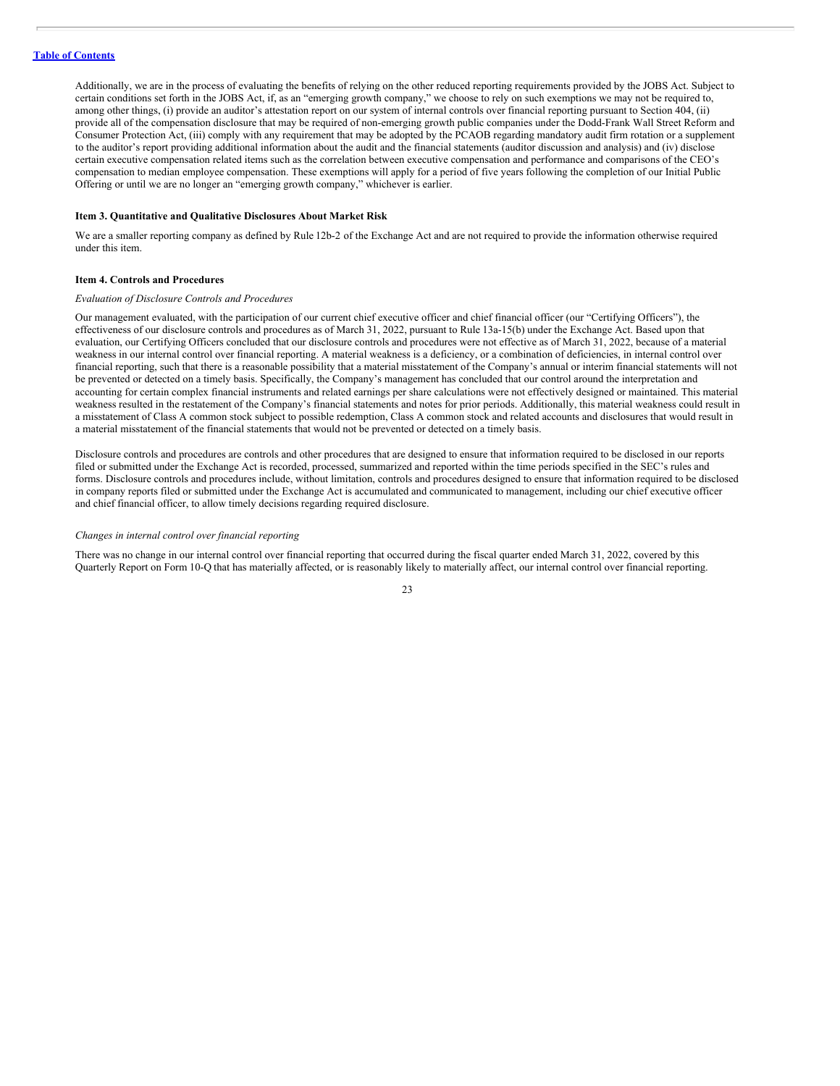Additionally, we are in the process of evaluating the benefits of relying on the other reduced reporting requirements provided by the JOBS Act. Subject to certain conditions set forth in the JOBS Act, if, as an "emerging growth company," we choose to rely on such exemptions we may not be required to, among other things, (i) provide an auditor's attestation report on our system of internal controls over financial reporting pursuant to Section 404, (ii) provide all of the compensation disclosure that may be required of non-emerging growth public companies under the Dodd-Frank Wall Street Reform and Consumer Protection Act, (iii) comply with any requirement that may be adopted by the PCAOB regarding mandatory audit firm rotation or a supplement to the auditor's report providing additional information about the audit and the financial statements (auditor discussion and analysis) and (iv) disclose certain executive compensation related items such as the correlation between executive compensation and performance and comparisons of the CEO's compensation to median employee compensation. These exemptions will apply for a period of five years following the completion of our Initial Public Offering or until we are no longer an "emerging growth company," whichever is earlier.

#### <span id="page-25-0"></span>**Item 3. Quantitative and Qualitative Disclosures About Market Risk**

We are a smaller reporting company as defined by Rule 12b-2 of the Exchange Act and are not required to provide the information otherwise required under this item.

#### <span id="page-25-1"></span>**Item 4. Controls and Procedures**

#### *Evaluation of Disclosure Controls and Procedures*

Our management evaluated, with the participation of our current chief executive officer and chief financial officer (our "Certifying Officers"), the effectiveness of our disclosure controls and procedures as of March 31, 2022, pursuant to Rule 13a-15(b) under the Exchange Act. Based upon that evaluation, our Certifying Officers concluded that our disclosure controls and procedures were not effective as of March 31, 2022, because of a material weakness in our internal control over financial reporting. A material weakness is a deficiency, or a combination of deficiencies, in internal control over financial reporting, such that there is a reasonable possibility that a material misstatement of the Company's annual or interim financial statements will not be prevented or detected on a timely basis. Specifically, the Company's management has concluded that our control around the interpretation and accounting for certain complex financial instruments and related earnings per share calculations were not effectively designed or maintained. This material weakness resulted in the restatement of the Company's financial statements and notes for prior periods. Additionally, this material weakness could result in a misstatement of Class A common stock subject to possible redemption, Class A common stock and related accounts and disclosures that would result in a material misstatement of the financial statements that would not be prevented or detected on a timely basis.

Disclosure controls and procedures are controls and other procedures that are designed to ensure that information required to be disclosed in our reports filed or submitted under the Exchange Act is recorded, processed, summarized and reported within the time periods specified in the SEC's rules and forms. Disclosure controls and procedures include, without limitation, controls and procedures designed to ensure that information required to be disclosed in company reports filed or submitted under the Exchange Act is accumulated and communicated to management, including our chief executive officer and chief financial officer, to allow timely decisions regarding required disclosure.

#### *Changes in internal control over financial reporting*

There was no change in our internal control over financial reporting that occurred during the fiscal quarter ended March 31, 2022, covered by this Quarterly Report on Form 10-Q that has materially affected, or is reasonably likely to materially affect, our internal control over financial reporting.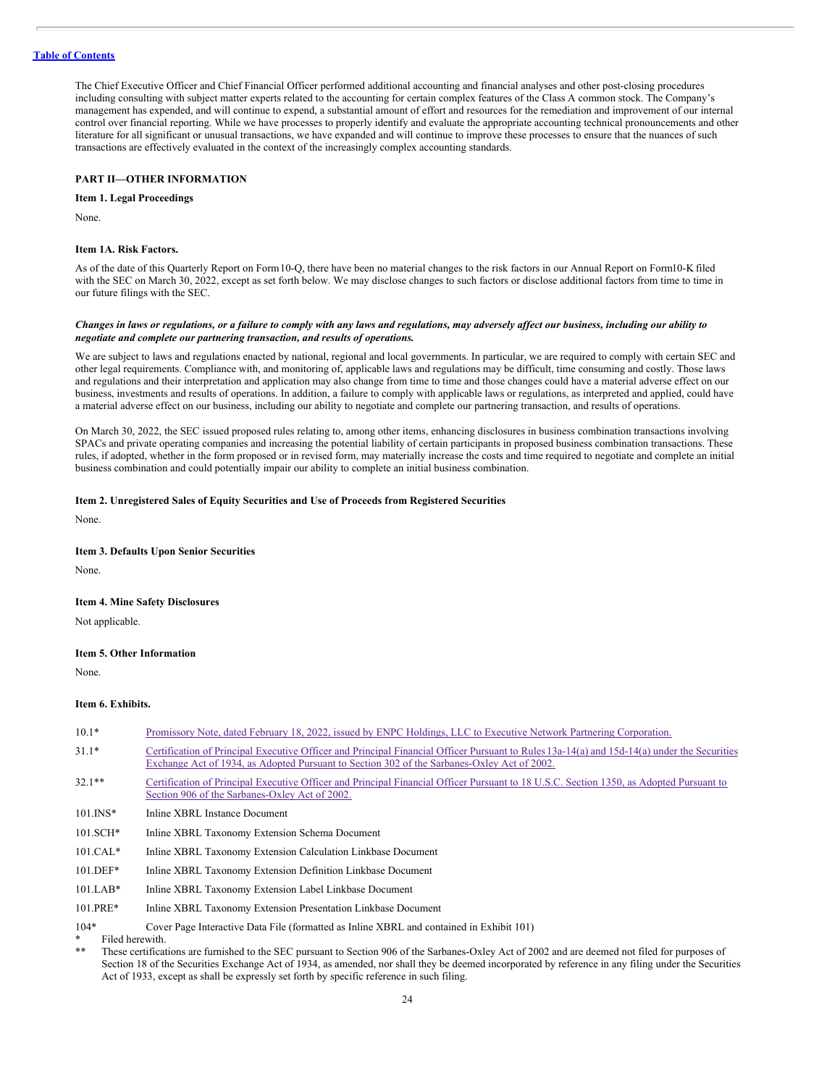The Chief Executive Officer and Chief Financial Officer performed additional accounting and financial analyses and other post-closing procedures including consulting with subject matter experts related to the accounting for certain complex features of the Class A common stock. The Company's management has expended, and will continue to expend, a substantial amount of effort and resources for the remediation and improvement of our internal control over financial reporting. While we have processes to properly identify and evaluate the appropriate accounting technical pronouncements and other literature for all significant or unusual transactions, we have expanded and will continue to improve these processes to ensure that the nuances of such transactions are effectively evaluated in the context of the increasingly complex accounting standards.

#### <span id="page-26-0"></span>**PART II—OTHER INFORMATION**

<span id="page-26-1"></span>**Item 1. Legal Proceedings**

None.

#### <span id="page-26-2"></span>**Item 1A. Risk Factors.**

As of the date of this Quarterly Report on Form10-Q, there have been no material changes to the risk factors in our Annual Report on Form10-K filed with the SEC on March 30, 2022, except as set forth below. We may disclose changes to such factors or disclose additional factors from time to time in our future filings with the SEC.

#### Changes in laws or regulations, or a failure to comply with any laws and regulations, may adversely affect our business, including our ability to *negotiate and complete our partnering transaction, and results of operations.*

We are subject to laws and regulations enacted by national, regional and local governments. In particular, we are required to comply with certain SEC and other legal requirements. Compliance with, and monitoring of, applicable laws and regulations may be difficult, time consuming and costly. Those laws and regulations and their interpretation and application may also change from time to time and those changes could have a material adverse effect on our business, investments and results of operations. In addition, a failure to comply with applicable laws or regulations, as interpreted and applied, could have a material adverse effect on our business, including our ability to negotiate and complete our partnering transaction, and results of operations.

On March 30, 2022, the SEC issued proposed rules relating to, among other items, enhancing disclosures in business combination transactions involving SPACs and private operating companies and increasing the potential liability of certain participants in proposed business combination transactions. These rules, if adopted, whether in the form proposed or in revised form, may materially increase the costs and time required to negotiate and complete an initial business combination and could potentially impair our ability to complete an initial business combination.

#### <span id="page-26-3"></span>**Item 2. Unregistered Sales of Equity Securities and Use of Proceeds from Registered Securities**

None.

#### <span id="page-26-4"></span>**Item 3. Defaults Upon Senior Securities**

None.

#### <span id="page-26-5"></span>**Item 4. Mine Safety Disclosures**

Not applicable.

#### <span id="page-26-6"></span>**Item 5. Other Information**

None.

#### <span id="page-26-7"></span>**Item 6. Exhibits.**

| $10.1*$  | Promissory Note, dated February 18, 2022, issued by ENPC Holdings, LLC to Executive Network Partnering Corporation.                                                                                                                        |
|----------|--------------------------------------------------------------------------------------------------------------------------------------------------------------------------------------------------------------------------------------------|
| $31.1*$  | Certification of Principal Executive Officer and Principal Financial Officer Pursuant to Rules 13a-14(a) and 15d-14(a) under the Securities<br>Exchange Act of 1934, as Adopted Pursuant to Section 302 of the Sarbanes-Oxley Act of 2002. |
| $32.1**$ | Certification of Principal Executive Officer and Principal Financial Officer Pursuant to 18 U.S.C. Section 1350, as Adopted Pursuant to<br>Section 906 of the Sarbanes-Oxley Act of 2002.                                                  |

- 101.INS\* Inline XBRL Instance Document
- 101.SCH\* Inline XBRL Taxonomy Extension Schema Document
- 101.CAL\* Inline XBRL Taxonomy Extension Calculation Linkbase Document
- 101.DEF\* Inline XBRL Taxonomy Extension Definition Linkbase Document
- 101.LAB\* Inline XBRL Taxonomy Extension Label Linkbase Document
- 101.PRE\* Inline XBRL Taxonomy Extension Presentation Linkbase Document

104\* Cover Page Interactive Data File (formatted as Inline XBRL and contained in Exhibit 101)

Filed herewith.

These certifications are furnished to the SEC pursuant to Section 906 of the Sarbanes-Oxley Act of 2002 and are deemed not filed for purposes of Section 18 of the Securities Exchange Act of 1934, as amended, nor shall they be deemed incorporated by reference in any filing under the Securities Act of 1933, except as shall be expressly set forth by specific reference in such filing.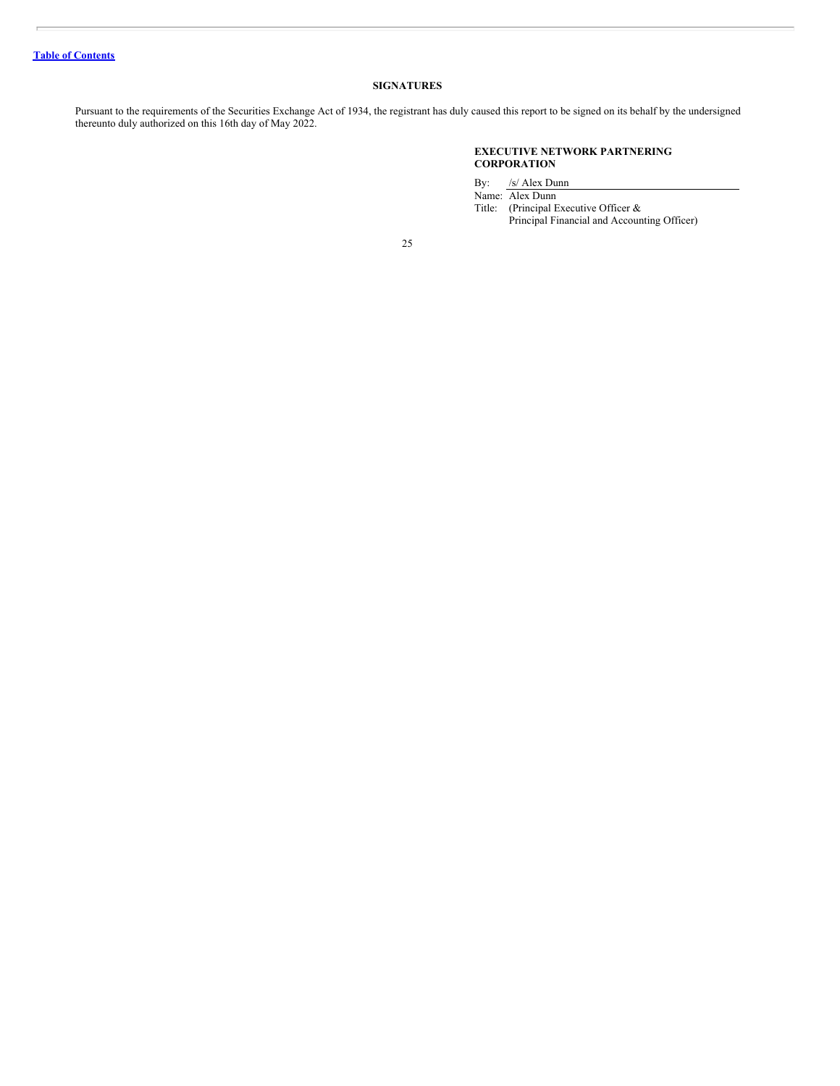#### **SIGNATURES**

<span id="page-27-0"></span>Pursuant to the requirements of the Securities Exchange Act of 1934, the registrant has duly caused this report to be signed on its behalf by the undersigned thereunto duly authorized on this 16th day of May 2022.

#### **EXECUTIVE NETWORK PARTNERING CORPORATION**

By: /s/ Alex Dunn

Name: Alex Dunn Title: (Principal Executive Officer & Principal Financial and Accounting Officer)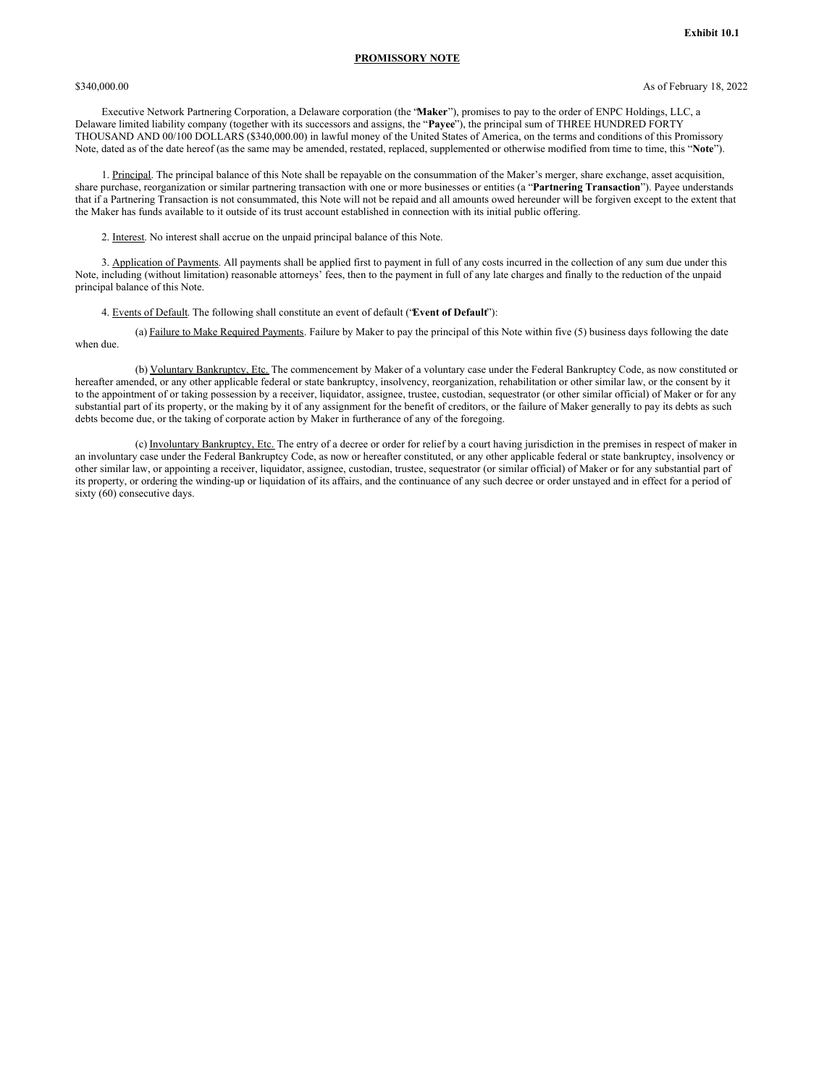#### **PROMISSORY NOTE**

Executive Network Partnering Corporation, a Delaware corporation (the "**Maker**"), promises to pay to the order of ENPC Holdings, LLC, a Delaware limited liability company (together with its successors and assigns, the "**Payee**"), the principal sum of THREE HUNDRED FORTY THOUSAND AND 00/100 DOLLARS (\$340,000.00) in lawful money of the United States of America, on the terms and conditions of this Promissory Note, dated as of the date hereof (as the same may be amended, restated, replaced, supplemented or otherwise modified from time to time, this "**Note**").

1. Principal. The principal balance of this Note shall be repayable on the consummation of the Maker's merger, share exchange, asset acquisition, share purchase, reorganization or similar partnering transaction with one or more businesses or entities (a "**Partnering Transaction**"). Payee understands that if a Partnering Transaction is not consummated, this Note will not be repaid and all amounts owed hereunder will be forgiven except to the extent that the Maker has funds available to it outside of its trust account established in connection with its initial public offering.

2. Interest. No interest shall accrue on the unpaid principal balance of this Note.

3. Application of Payments. All payments shall be applied first to payment in full of any costs incurred in the collection of any sum due under this Note, including (without limitation) reasonable attorneys' fees, then to the payment in full of any late charges and finally to the reduction of the unpaid principal balance of this Note.

4. Events of Default. The following shall constitute an event of default ("**Event of Default**"):

(a) Failure to Make Required Payments. Failure by Maker to pay the principal of this Note within five (5) business days following the date when due.

(b) Voluntary Bankruptcy, Etc. The commencement by Maker of a voluntary case under the Federal Bankruptcy Code, as now constituted or hereafter amended, or any other applicable federal or state bankruptcy, insolvency, reorganization, rehabilitation or other similar law, or the consent by it to the appointment of or taking possession by a receiver, liquidator, assignee, trustee, custodian, sequestrator (or other similar official) of Maker or for any substantial part of its property, or the making by it of any assignment for the benefit of creditors, or the failure of Maker generally to pay its debts as such debts become due, or the taking of corporate action by Maker in furtherance of any of the foregoing.

(c) Involuntary Bankruptcy, Etc. The entry of a decree or order for relief by a court having jurisdiction in the premises in respect of maker in an involuntary case under the Federal Bankruptcy Code, as now or hereafter constituted, or any other applicable federal or state bankruptcy, insolvency or other similar law, or appointing a receiver, liquidator, assignee, custodian, trustee, sequestrator (or similar official) of Maker or for any substantial part of its property, or ordering the winding-up or liquidation of its affairs, and the continuance of any such decree or order unstayed and in effect for a period of sixty (60) consecutive days.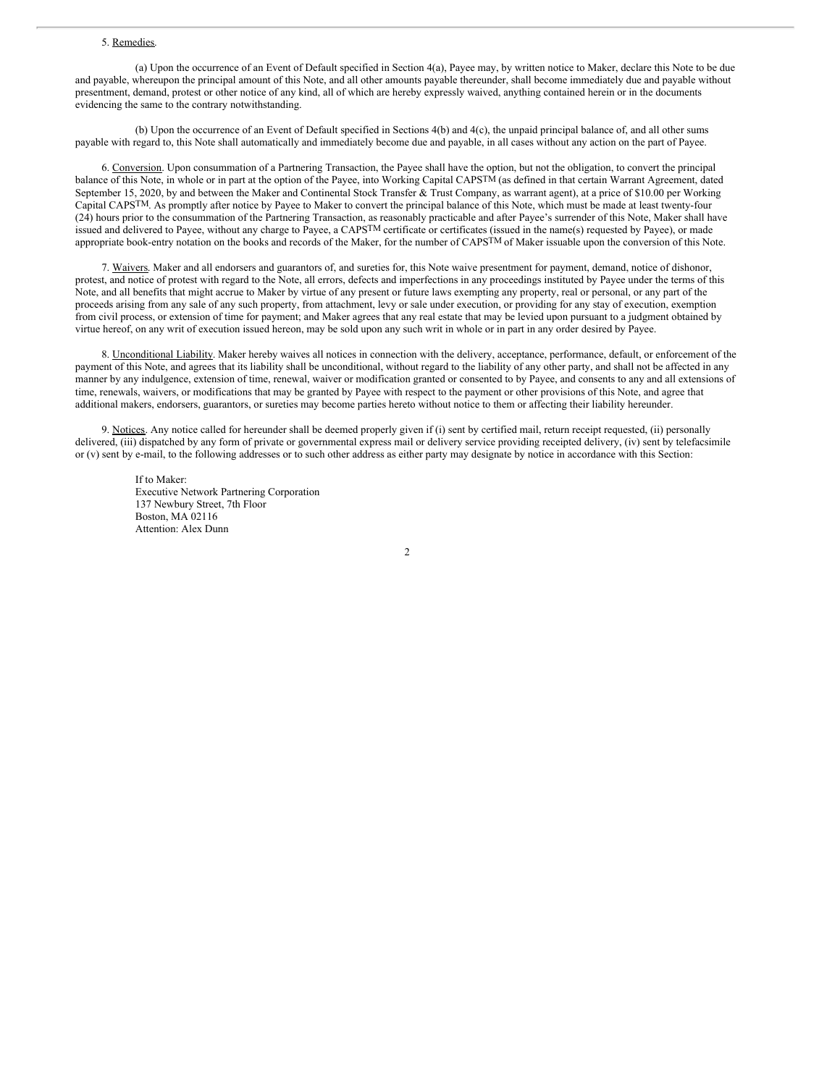#### <span id="page-29-0"></span>5. Remedies.

(a) Upon the occurrence of an Event of Default specified in Section 4(a), Payee may, by written notice to Maker, declare this Note to be due and payable, whereupon the principal amount of this Note, and all other amounts payable thereunder, shall become immediately due and payable without presentment, demand, protest or other notice of any kind, all of which are hereby expressly waived, anything contained herein or in the documents evidencing the same to the contrary notwithstanding.

(b) Upon the occurrence of an Event of Default specified in Sections 4(b) and 4(c), the unpaid principal balance of, and all other sums payable with regard to, this Note shall automatically and immediately become due and payable, in all cases without any action on the part of Payee.

6. Conversion. Upon consummation of a Partnering Transaction, the Payee shall have the option, but not the obligation, to convert the principal balance of this Note, in whole or in part at the option of the Payee, into Working Capital CAPSTM (as defined in that certain Warrant Agreement, dated September 15, 2020, by and between the Maker and Continental Stock Transfer & Trust Company, as warrant agent), at a price of \$10.00 per Working Capital CAPSTM. As promptly after notice by Payee to Maker to convert the principal balance of this Note, which must be made at least twenty-four (24) hours prior to the consummation of the Partnering Transaction, as reasonably practicable and after Payee's surrender of this Note, Maker shall have issued and delivered to Payee, without any charge to Payee, a CAPSTM certificates or certificates (issued in the name(s) requested by Payee), or made appropriate book-entry notation on the books and records of the Maker, for the number of CAPSTM of Maker issuable upon the conversion of this Note.

7. Waivers. Maker and all endorsers and guarantors of, and sureties for, this Note waive presentment for payment, demand, notice of dishonor, protest, and notice of protest with regard to the Note, all errors, defects and imperfections in any proceedings instituted by Payee under the terms of this Note, and all benefits that might accrue to Maker by virtue of any present or future laws exempting any property, real or personal, or any part of the proceeds arising from any sale of any such property, from attachment, levy or sale under execution, or providing for any stay of execution, exemption from civil process, or extension of time for payment; and Maker agrees that any real estate that may be levied upon pursuant to a judgment obtained by virtue hereof, on any writ of execution issued hereon, may be sold upon any such writ in whole or in part in any order desired by Payee.

8. Unconditional Liability. Maker hereby waives all notices in connection with the delivery, acceptance, performance, default, or enforcement of the payment of this Note, and agrees that its liability shall be unconditional, without regard to the liability of any other party, and shall not be affected in any manner by any indulgence, extension of time, renewal, waiver or modification granted or consented to by Payee, and consents to any and all extensions of time, renewals, waivers, or modifications that may be granted by Payee with respect to the payment or other provisions of this Note, and agree that additional makers, endorsers, guarantors, or sureties may become parties hereto without notice to them or affecting their liability hereunder.

9. Notices. Any notice called for hereunder shall be deemed properly given if (i) sent by certified mail, return receipt requested, (ii) personally delivered, (iii) dispatched by any form of private or governmental express mail or delivery service providing receipted delivery, (iv) sent by telefacsimile or (v) sent by e-mail, to the following addresses or to such other address as either party may designate by notice in accordance with this Section:

If to Maker: Executive Network Partnering Corporation 137 Newbury Street, 7th Floor Boston, MA 02116 Attention: Alex Dunn

 $\overline{\phantom{a}}$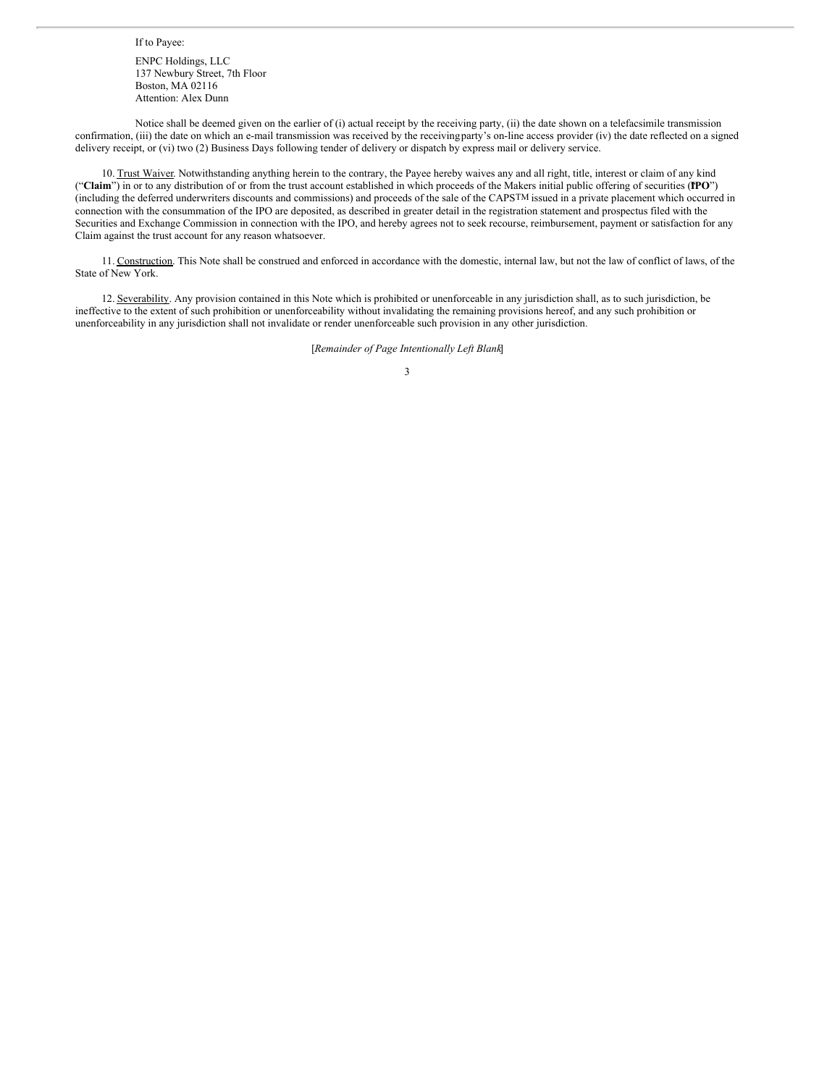If to Payee:

ENPC Holdings, LLC 137 Newbury Street, 7th Floor Boston, MA 02116 Attention: Alex Dunn

Notice shall be deemed given on the earlier of (i) actual receipt by the receiving party, (ii) the date shown on a telefacsimile transmission confirmation, (iii) the date on which an e-mail transmission was received by the receivingparty's on-line access provider (iv) the date reflected on a signed delivery receipt, or (vi) two (2) Business Days following tender of delivery or dispatch by express mail or delivery service.

10. Trust Waiver. Notwithstanding anything herein to the contrary, the Payee hereby waives any and all right, title, interest or claim of any kind ("**Claim**") in or to any distribution of or from the trust account established in which proceeds of the Makers initial public offering of securities (**I**"**PO**") (including the deferred underwriters discounts and commissions) and proceeds of the sale of the CAPSTM issued in a private placement which occurred in connection with the consummation of the IPO are deposited, as described in greater detail in the registration statement and prospectus filed with the Securities and Exchange Commission in connection with the IPO, and hereby agrees not to seek recourse, reimbursement, payment or satisfaction for any Claim against the trust account for any reason whatsoever.

11. Construction. This Note shall be construed and enforced in accordance with the domestic, internal law, but not the law of conflict of laws, of the State of New York.

12. Severability. Any provision contained in this Note which is prohibited or unenforceable in any jurisdiction shall, as to such jurisdiction, be ineffective to the extent of such prohibition or unenforceability without invalidating the remaining provisions hereof, and any such prohibition or unenforceability in any jurisdiction shall not invalidate or render unenforceable such provision in any other jurisdiction.

[*Remainder of Page Intentionally Left Blank*]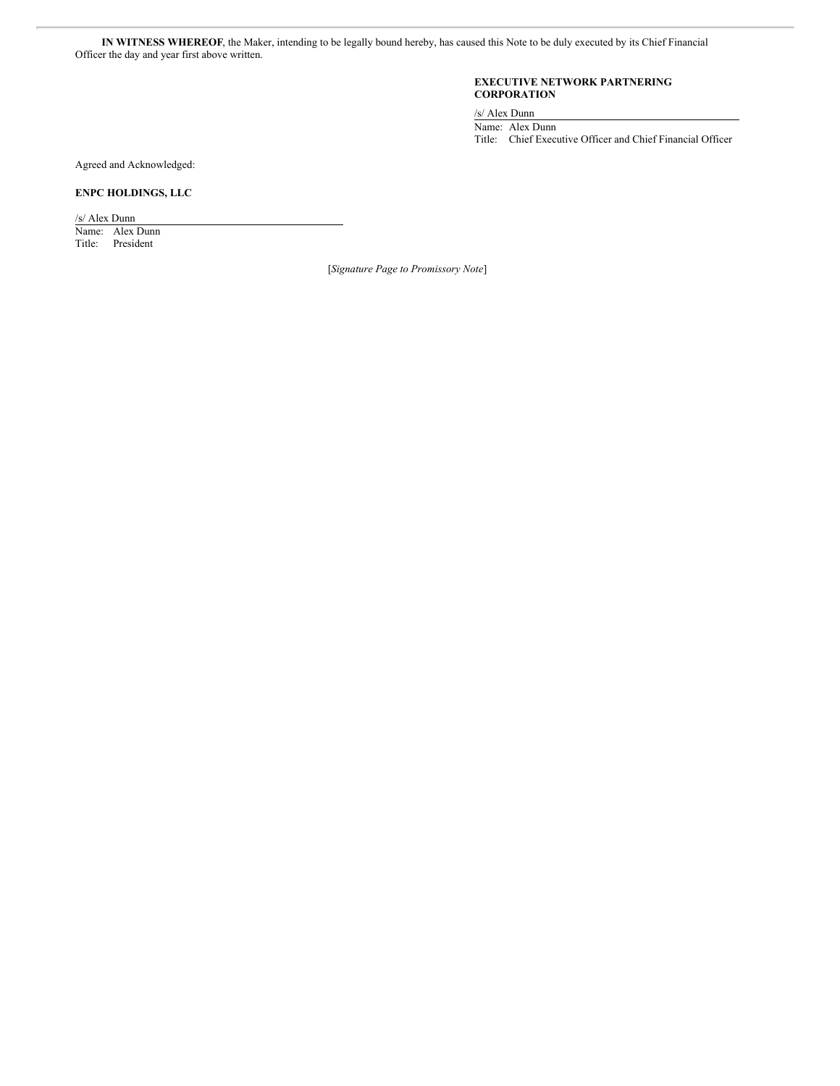**IN WITNESS WHEREOF**, the Maker, intending to be legally bound hereby, has caused this Note to be duly executed by its Chief Financial Officer the day and year first above written.

#### **EXECUTIVE NETWORK PARTNERING CORPORATION**

/s/ Alex Dunn Name: Alex Dunn Title: Chief Executive Officer and Chief Financial Officer

Agreed and Acknowledged:

#### **ENPC HOLDINGS, LLC**

/s/ Alex Dunn Name: Alex Dunn Title: President

[*Signature Page to Promissory Note*]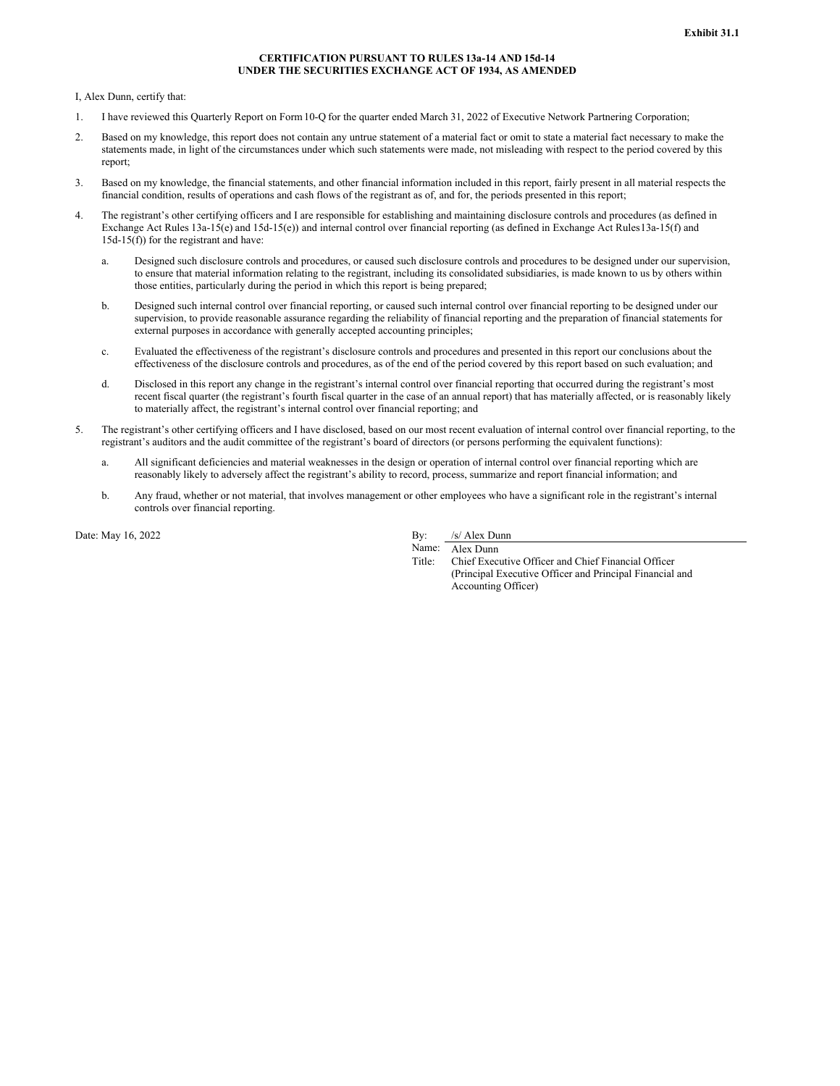#### **CERTIFICATION PURSUANT TO RULES 13a-14 AND 15d-14 UNDER THE SECURITIES EXCHANGE ACT OF 1934, AS AMENDED**

<span id="page-32-0"></span>I, Alex Dunn, certify that:

- 1. I have reviewed this Quarterly Report on Form10-Q for the quarter ended March 31, 2022 of Executive Network Partnering Corporation;
- 2. Based on my knowledge, this report does not contain any untrue statement of a material fact or omit to state a material fact necessary to make the statements made, in light of the circumstances under which such statements were made, not misleading with respect to the period covered by this report;
- 3. Based on my knowledge, the financial statements, and other financial information included in this report, fairly present in all material respects the financial condition, results of operations and cash flows of the registrant as of, and for, the periods presented in this report;
- 4. The registrant's other certifying officers and I are responsible for establishing and maintaining disclosure controls and procedures (as defined in Exchange Act Rules 13a-15(e) and 15d-15(e)) and internal control over financial reporting (as defined in Exchange Act Rules13a-15(f) and 15d-15(f)) for the registrant and have:
	- a. Designed such disclosure controls and procedures, or caused such disclosure controls and procedures to be designed under our supervision, to ensure that material information relating to the registrant, including its consolidated subsidiaries, is made known to us by others within those entities, particularly during the period in which this report is being prepared;
	- b. Designed such internal control over financial reporting, or caused such internal control over financial reporting to be designed under our supervision, to provide reasonable assurance regarding the reliability of financial reporting and the preparation of financial statements for external purposes in accordance with generally accepted accounting principles;
	- c. Evaluated the effectiveness of the registrant's disclosure controls and procedures and presented in this report our conclusions about the effectiveness of the disclosure controls and procedures, as of the end of the period covered by this report based on such evaluation; and
	- d. Disclosed in this report any change in the registrant's internal control over financial reporting that occurred during the registrant's most recent fiscal quarter (the registrant's fourth fiscal quarter in the case of an annual report) that has materially affected, or is reasonably likely to materially affect, the registrant's internal control over financial reporting; and
- 5. The registrant's other certifying officers and I have disclosed, based on our most recent evaluation of internal control over financial reporting, to the registrant's auditors and the audit committee of the registrant's board of directors (or persons performing the equivalent functions):
	- a. All significant deficiencies and material weaknesses in the design or operation of internal control over financial reporting which are reasonably likely to adversely affect the registrant's ability to record, process, summarize and report financial information; and
	- b. Any fraud, whether or not material, that involves management or other employees who have a significant role in the registrant's internal controls over financial reporting.

Date: May 16, 2022 By: /s/ Alex Dunn

Name:  $\overline{Alex Dunn}$ 

Title: Chief Executive Officer and Chief Financial Officer (Principal Executive Officer and Principal Financial and Accounting Officer)